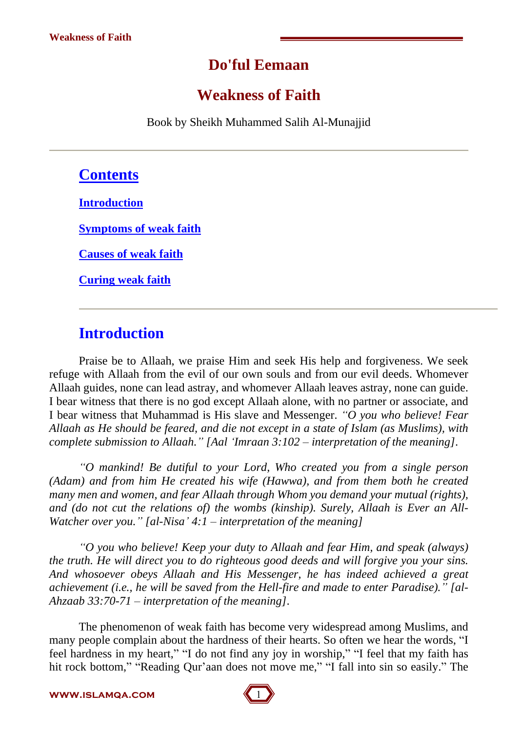# **Do'ful Eemaan**

# **Weakness of Faith**

Book by Sheikh Muhammed Salih Al-Munajjid

## **Contents**

**Introduction**

**Symptoms of weak faith**

**Causes of weak faith**

**Curing weak faith**

## **Introduction**

Praise be to Allaah, we praise Him and seek His help and forgiveness. We seek refuge with Allaah from the evil of our own souls and from our evil deeds. Whomever Allaah guides, none can lead astray, and whomever Allaah leaves astray, none can guide. I bear witness that there is no god except Allaah alone, with no partner or associate, and I bear witness that Muhammad is His slave and Messenger. *ìO you who believe! Fear Allaah as He should be feared, and die not except in a state of Islam (as Muslims), with complete submission to Allaah.î [AalëImraan 3:102 ñ interpretation of the meaning].*

*ìO mankind! Be dutiful to your Lord, Who created you from a single person (Adam) and from him He created his wife (Hawwa), and from them both he created many men and women, and fear Allaah through Whom you demand your mutual (rights), and (do not cut the relations of) the wombs (kinship). Surely, Allaah is Ever an All- Watcher over you.*<sup>*n*</sup> [al-Nisa<sup>*'*</sup> 4:1 – *interpretation of the meaning*]

*ìO you who believe! Keep your duty to Allaah and fear Him, and speak (always) the truth. He will direct you to do righteous good deeds and will forgive you your sins. And whosoever obeys Allaah and His Messenger, he has indeed achieved a great achievement (i.e., he will be saved from the Hell-fire and made to enter Paradise).î [al- Ahzaab 33:70-71 ñ interpretation of the meaning].*

The phenomenon of weak faith has become very widespread among Muslims, and many people complain about the hardness of their hearts. So often we hear the words, "I feel hardness in my heart," "I do not find any joy in worship," "I feel that my faith has hit rock bottom," "Reading Qur'aan does not move me," "I fall into sin so easily." The

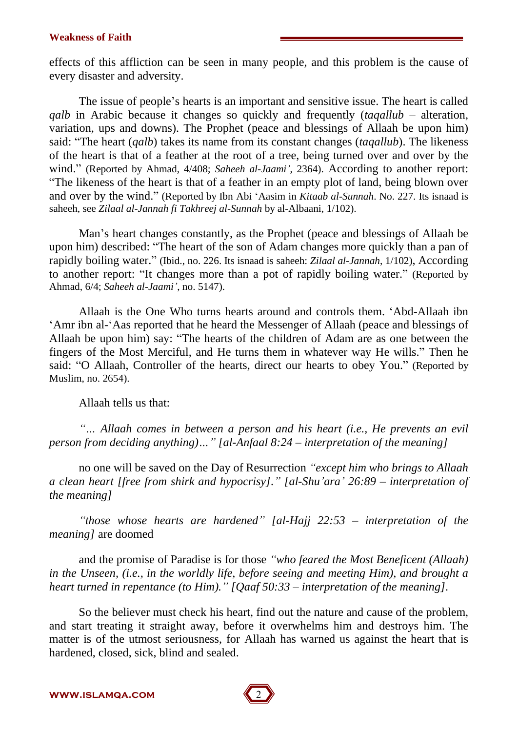effects of this affliction can be seen in many people, and this problem is the cause of every disaster and adversity.

The issue of people's hearts is an important and sensitive issue. The heart is called *qalb* in Arabic because it changes so quickly and frequently (*taqallub* – alteration, variation, ups and downs). The Prophet (peace and blessings of Allaah be upon him) said: "The heart (*qalb*) takes its name from its constant changes (*taqallub*). The likeness of the heart is that of a feather at the root of a tree, being turned over and over by the wind." (Reported by Ahmad, 4/408; *Saheeh al-Jaami*<sup>'</sup>, 2364). According to another report: ìThe likeness of the heart is that of a feather in an empty plot of land, being blown over and over by the wind." (Reported by Ibn Abi 'Aasim in *Kitaab al-Sunnah*. No. 227. Its isnaad is saheeh, see *Zilaal al-Jannah fi Takhreej al-Sunnah* by al-Albaani, 1/102).

Man's heart changes constantly, as the Prophet (peace and blessings of Allaah be upon him) described: "The heart of the son of Adam changes more quickly than a pan of rapidly boiling water.î (Ibid., no. 226. Its isnaad is saheeh: *Zilaal al-Jannah*, 1/102), According to another report: "It changes more than a pot of rapidly boiling water." (Reported by Ahmad, 6/4; *Saheeh al-Jaamií*, no. 5147).

Allaah is the One Who turns hearts around and controls them. ëAbd-Allaah ibn ëAmr ibn al-ëAas reported that he heard the Messenger of Allaah (peace and blessings of Allaah be upon him) say: "The hearts of the children of Adam are as one between the fingers of the Most Merciful, and He turns them in whatever way He wills." Then he said: "O Allaah, Controller of the hearts, direct our hearts to obey You." (Reported by Muslim, no. 2654).

Allaah tells us that:

*ìÖ Allaah comes in between a person and his heart (i.e., He prevents an evil person from deciding anything* $)$ *... "* [al-Anfaal 8:24 – *interpretation of the meaning*]

no one will be saved on the Day of Resurrection *ìexcept him who brings to Allaah a clean heart [free from shirk and hypocrisy].î [al-Shuíaraí 26:89 ñ interpretation of the meaning]*

*ìthose whose hearts are hardenedî [al-Hajj 22:53 ñ interpretation of the meaning]* are doomed

and the promise of Paradise is for those *ìwho feared the Most Beneficent (Allaah) in the Unseen, (i.e., in the worldly life, before seeing and meeting Him), and brought a heart turned in repentance (to Him).î [Qaaf 50:33 ñ interpretation of the meaning].*

So the believer must check his heart, find out the nature and cause of the problem, and start treating it straight away, before it overwhelms him and destroys him. The matter is of the utmost seriousness, for Allaah has warned us against the heart that is hardened, closed, sick, blind and sealed.

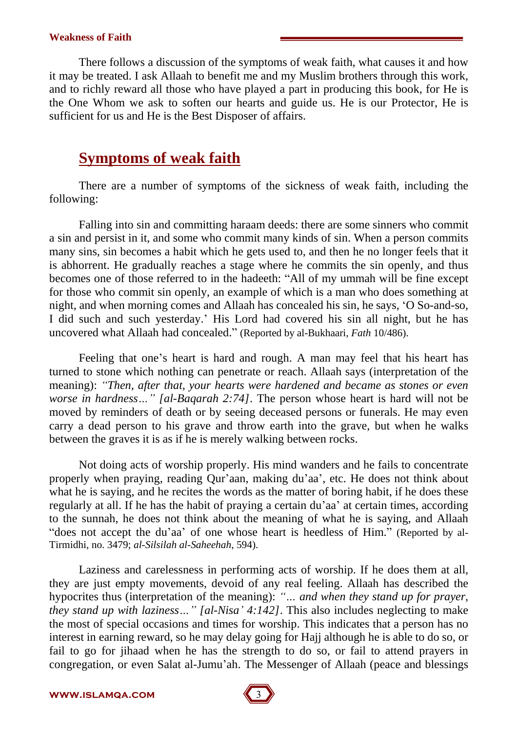There follows a discussion of the symptoms of weak faith, what causes it and how it may be treated. I ask Allaah to benefit me and my Muslim brothers through this work, and to richly reward all those who have played a part in producing this book, for He is the One Whom we ask to soften our hearts and guide us. He is our Protector, He is sufficient for us and He is the Best Disposer of affairs.

# **Symptoms of weak faith**

There are a number of symptoms of the sickness of weak faith, including the following:

Falling into sin and committing haraam deeds: there are some sinners who commit a sin and persist in it, and some who commit many kinds of sin. When a person commits many sins, sin becomes a habit which he gets used to, and then he no longer feels that it is abhorrent. He gradually reaches a stage where he commits the sin openly, and thus becomes one of those referred to in the hadeeth: "All of my ummah will be fine except for those who commit sin openly, an example of which is a man who does something at night, and when morning comes and Allaah has concealed his sin, he says, ëO So-and-so, I did such and such yesterday.' His Lord had covered his sin all night, but he has uncovered what Allaah had concealed." (Reported by al-Bukhaari, *Fath* 10/486).

Feeling that one's heart is hard and rough. A man may feel that his heart has turned to stone which nothing can penetrate or reach. Allaah says (interpretation of the meaning): *ìThen, after that, your hearts were hardened and became as stones or even worse in hardness*..." [al-Baqarah 2:74]. The person whose heart is hard will not be moved by reminders of death or by seeing deceased persons or funerals. He may even carry a dead person to his grave and throw earth into the grave, but when he walks between the graves it is as if he is merely walking between rocks.

Not doing acts of worship properly. His mind wanders and he fails to concentrate properly when praying, reading Qur'aan, making du'aa', etc. He does not think about what he is saying, and he recites the words as the matter of boring habit, if he does these regularly at all. If he has the habit of praying a certain du'aa' at certain times, according to the sunnah, he does not think about the meaning ofwhat he is saying, and Allaah "does not accept the du'aa' of one whose heart is heedless of Him." (Reported by al-Tirmidhi, no. 3479; *al-Silsilah al-Saheehah*, 594).

Laziness and carelessness in performing acts of worship. If he does them at all, they are just empty movements, devoid of any real feeling. Allaah has described the hypocrites thus (interpretation of the meaning): "... and when they stand up for prayer, *they stand up with laziness*  $\ldots$  *'' [al-Nisa' 4:142]*. This also includes neglecting to make the most of special occasions and times for worship. This indicates that a person has no interest in earning reward, so he may delay going for Hajj although he is able to do so, or fail to go for jihaad when he has the strength to do so, or fail to attend prayers in congregation, or even Salat al-Jumu'ah. The Messenger of Allaah (peace and blessings

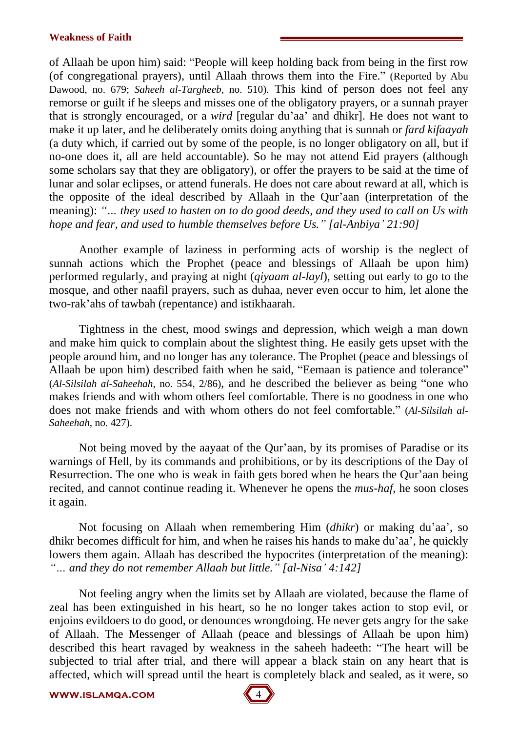of Allaah be upon him) said: "People will keep holding back from being in the first row (of congregational prayers), until Allaah throws them into the Fire." (Reported by Abu Dawood, no. 679; *Saheeh al-Targheeb*, no. 510). This kind of person does not feel any remorse or guilt if he sleeps and misses one of the obligatory prayers, or a sunnah prayer that is strongly encouraged, or a *wird* [regular du'aa' and dhikr]. He does not want to make it up later, and he deliberately omits doing anything that is sunnah or *fard kifaayah* (a duty which, if carried out by some of the people, is no longer obligatory on all, but if no-one does it, all are held accountable). So he may not attend Eid prayers (although some scholars say that they are obligatory), or offer the prayers to be said at the time of lunar and solar eclipses, or attend funerals. He does not care about reward at all, which is the opposite of the ideal described by Allaah in the Our'aan (interpretation of the meaning): *ìÖ they used to hasten on to do good deeds, and they used to call on Us with hope and fear, and used to humble themselves before Us.î [al-Anbiyaí 21:90]*

Another example of laziness in performing acts of worship is the neglect of sunnah actions which the Prophet (peace and blessings of Allaah be upon him) performed regularly, and praying at night *(giyaam al-layl)*, setting out early to go to the mosque, and other naafil prayers, such as duhaa, never even occur to him, let alone the two-rak'ahs of tawbah (repentance) and istikhaarah.

Tightness in the chest, mood swings and depression, which weigh a man down and make him quick to complain about the slightest thing. He easily gets upset with the people around him, and no longer has any tolerance. The Prophet (peace and blessings of Allaah be upon him) described faith when he said, "Eemaan is patience and tolerance" (*Al-Silsilah al-Saheehah*, no. 554, 2/86), and he described the believer as being "one who makes friends and with whom others feel comfortable. There is no goodness in one who does not make friends and with whom others do not feel comfortable.î (*Al-Silsilah al- Saheehah*, no. 427).

Not being moved by the aayaat of the Qur'aan, by its promises of Paradise or its warnings of Hell, by its commands and prohibitions, or by its descriptions of the Day of Resurrection. The one who is weak in faith gets bored when he hears the Qur'aan being recited, and cannot continue reading it. Whenever he opens the *mus-haf*, he soon closes it again.

Not focusing on Allaah when remembering Him *(dhikr)* or making du'aa', so dhikr becomes difficult for him, and when he raises his hands to make du'aa', he quickly lowers them again. Allaah has described the hypocrites (interpretation of the meaning): *ìÖ and they do not remember Allaah but little.î [al-Nisaí 4:142]*

Not feeling angry when the limits set by Allaah are violated, because the flame of zeal has been extinguished in his heart, so he no longer takes action to stop evil, or enjoins evildoers to do good, or denounces wrongdoing. He never gets angry for the sake of Allaah. The Messenger of Allaah (peace and blessings of Allaah be upon him) described this heart ravaged by weakness in the saheeh hadeeth: "The heart will be subjected to trial after trial, and there will appear a black stain on any heart that is affected, which will spread until the heart is completely black and sealed, as itwere, so

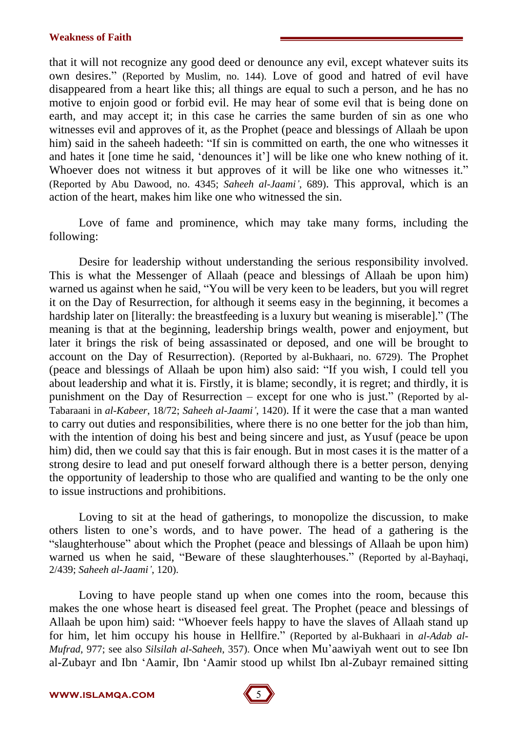that it will not recognize any good deed or denounce any evil, except whatever suits its own desires." (Reported by Muslim, no. 144). Love of good and hatred of evil have disappeared from a heart like this; all things are equal to such a person, and he has no motive to enjoin good or forbid evil. He may hear of some evil that is being done on earth, and may accept it; in this case he carries the same burden of sin as one who witnesses evil and approves of it, as the Prophet (peace and blessings of Allaah be upon him) said in the saheeh hadeeth: "If sin is committed on earth, the one who witnesses it and hates it [one time he said, 'denounces it'] will be like one who knew nothing of it. Whoever does not witness it but approves of it will be like one who witnesses it." (Reported by Abu Dawood, no. 4345; *Saheeh al-Jaamií*, 689). This approval, which is an action of the heart, makes him like one who witnessed the sin.

Love of fame and prominence, which may take many forms, including the following:

Desire for leadership without understanding the serious responsibility involved. This is what the Messenger of Allaah (peace and blessings of Allaah be upon him) warned us against when he said, "You will be very keen to be leaders, but you will regret it on the Day of Resurrection, for although it seems easy in the beginning, it becomes a hardship later on [literally: the breastfeeding is a luxury but weaning is miserable]." (The meaning is that at the beginning, leadership brings wealth, power and enjoyment, but later it brings the risk of being assassinated or deposed, and one will be brought to account on the Day of Resurrection). (Reported by al-Bukhaari, no. 6729). The Prophet (peace and blessings of Allaah be upon him) also said: "If you wish, I could tell you about leadership and what it is. Firstly, it is blame; secondly, it is regret; and thirdly, it is punishment on the Day of Resurrection  $-$  except for one who is just." (Reported by al-Tabaraani in *al-Kabeer*, 18/72; *Saheeh al-Jaamií*, 1420). If it were the case that a man wanted to carry out duties and responsibilities, where there is no one better for the job than him, with the intention of doing his best and being sincere and just, as Yusuf (peace be upon him) did, then we could say that this is fair enough. But in most cases it is the matter of a strong desire to lead and put oneself forward although there is a better person, denying the opportunity of leadership to those who are qualified and wanting to be the only one to issue instructions and prohibitions.

Loving to sit at the head of gatherings, to monopolize the discussion, to make others listen to one's words, and to have power. The head of a gathering is the "slaughterhouse" about which the Prophet (peace and blessings of Allaah be upon him) warned us when he said, "Beware of these slaughterhouses." (Reported by al-Bayhaqi, 2/439; *Saheeh al-Jaamií*, 120).

Loving to have people stand up when one comes into the room, because this makes the one whose heart is diseased feel great. The Prophet (peace and blessings of Allaah be upon him) said: "Whoever feels happy to have the slaves of Allaah stand up for him, let him occupy his house in Hellfire.î (Reported by al-Bukhaari in *al-Adab al- Mufrad*, 977; see also *Silsilah al-Saheeh*, 357). Once when Mu'aawiyah went out to see Ibn al-Zubayr and Ibn ëAamir, Ibn ëAamir stood up whilst Ibn al-Zubayr remained sitting

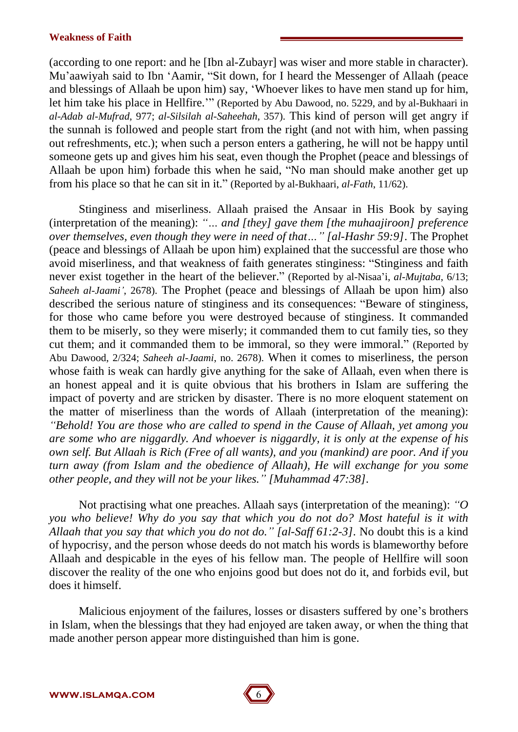(according to one report: and he [Ibn al-Zubayr] was wiser and more stable in character). Mu'aawiyah said to Ibn 'Aamir, "Sit down, for I heard the Messenger of Allaah (peace and blessings of Allaah be upon him) say, ëWhoever likes to have men stand up for him, let him take his place in Hellfire.<sup>77</sup> (Reported by Abu Dawood, no. 5229, and by al-Bukhaari in *al-Adab al-Mufrad*, 977; *al-Silsilah al-Saheehah*, 357). This kind of person will get angry if the sunnah is followed and people start from the right(and notwith him, when passing out refreshments, etc.); when such a person enters a gathering, he will not be happy until someone gets up and gives him his seat, even though the Prophet (peace and blessings of Allaah be upon him) forbade this when he said, "No man should make another get up from his place so that he can sit in it." (Reported by al-Bukhaari, *al-Fath*, 11/62).

Stinginess and miserliness. Allaah praised the Ansaar in His Book by saying (interpretation of the meaning): "... and [they] gave them [the muhaajiroon] preference *over themselves, even though they were in need of that* ... " [al-Hashr 59:9]. The Prophet (peace and blessings of Allaah be upon him) explained that the successful are those who avoid miserliness, and that weakness of faith generates stinginess: "Stinginess and faith never exist together in the heart of the believer." (Reported by al-Nisaa'i, *al-Mujtaba*, 6/13; *Saheeh al-Jaamií*, 2678). The Prophet (peace and blessings of Allaah be upon him) also described the serious nature of stinginess and its consequences: "Beware of stinginess, for those who came before you were destroyed because of stinginess. It commanded them to be miserly, so they were miserly; it commanded them to cut family ties, so they cut them; and it commanded them to be immoral, so they were immoral." (Reported by Abu Dawood, 2/324; *Saheeh al-Jaami*, no. 2678). When it comes to miserliness, the person whose faith is weak can hardly give anything for the sake of Allaah, even when there is an honest appeal and it is quite obvious that his brothers in Islam are suffering the impact of poverty and are stricken by disaster. There is no more eloquent statement on the matter of miserliness than the words of Allaah (interpretation of the meaning): *ìBehold! You are those who are called to spend in the Cause of Allaah, yet among you are some who are niggardly. And whoever is niggardly, it is only at the expense of his own self. But Allaah is Rich (Free of all wants), and you (mankind) are poor. And if you turn away (from Islam and the obedience of Allaah), He will exchange for you some other people, and they will not be your likes.î [Muhammad 47:38].*

Not practising what one preaches. Allaah says (interpretation of the meaning): *ìO you who believe! Why do you say that which you do not do? Most hateful is it with Allaah that you say that which you do not do.î [al-Saf 61:2-3].* No doubt this is a kind of hypocrisy, and the person whose deeds do not match his words is blameworthy before Allaah and despicable in the eyes of his fellow man. The people of Hellfire will soon discover the reality of the one who enjoins good but does not do it, and forbids evil, but does it himself.

Malicious enjoyment of the failures, losses or disasters suffered by one's brothers in Islam, when the blessings that they had enjoyed are taken away, or when the thing that made another person appear more distinguished than him is gone.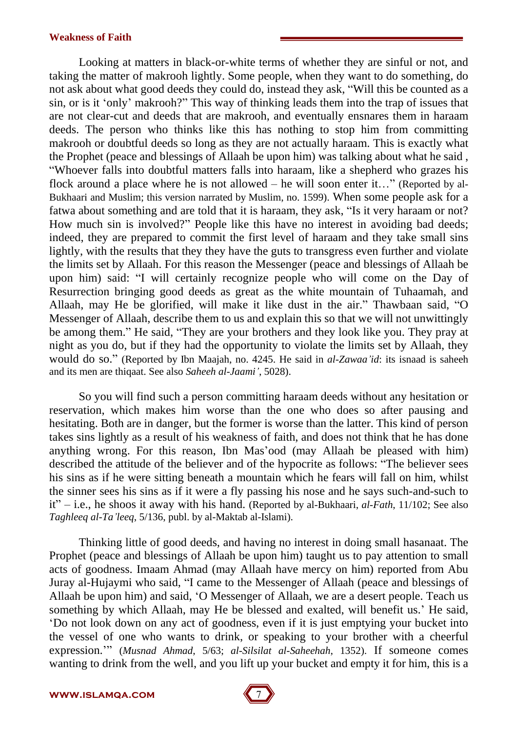Looking at matters in black-or-white terms of whether they are sinful or not, and taking the matter of makrooh lightly. Some people, when they want to do something, do not ask about what good deeds they could do, instead they ask, "Will this be counted as a sin, or is it 'only' makrooh?" This way of thinking leads them into the trap of issues that are not clear-cut and deeds that are makrooh, and eventually ensnares them in haraam deeds. The person who thinks like this has nothing to stop him from committing makrooh or doubtful deeds so long as they are not actually haraam. This is exactly what the Prophet (peace and blessings of Allaah be upon him) was talking about what he said , ìWhoever falls into doubtful matters falls into haraam, like a shepherd who grazes his flock around a place where he is not allowed – he will soon enter it..." (Reported by al-Bukhaari and Muslim; this version narrated by Muslim, no. 1599). When some people ask for a fatwa about something and are told that it is haraam, they ask, "Is it very haraam or not? How much sin is involved?" People like this have no interest in avoiding bad deeds; indeed, they are prepared to commit the first level of haraam and they take small sins lightly, with the results that they they have the guts to transgress even further and violate the limits set by Allaah. For this reason the Messenger (peace and blessings of Allaah be upon him) said: "I will certainly recognize people who will come on the Day of Resurrection bringing good deeds as great as the white mountain of Tuhaamah, and Allaah, may He be glorified, will make it like dust in the air." Thawbaan said, "O Messenger of Allaah, describe them to us and explain this so that we will not unwittingly be among them." He said, "They are your brothers and they look like you. They pray at night as you do, but if they had the opportunity to violate the limits set by Allaah, they would do so." (Reported by Ibn Maajah, no. 4245. He said in *al-Zawaa<sup>'</sup>id*: its isnaad is saheeh and its men are thiqaat. See also *Saheeh al-Jaamií*, 5028).

So you will find such a person committing haraam deeds without any hesitation or reservation, which makes him worse than the one who does so after pausing and hesitating. Both are in danger, but the former is worse than the latter. This kind of person takes sins lightly as a result of his weakness of faith, and does not think that he has done anything wrong. For this reason, Ibn Mas'ood (may Allaah be pleased with him) described the attitude of the believer and of the hypocrite as follows: "The believer sees his sins as if he were sitting beneath a mountain which he fears will fall on him, whilst the sinner sees his sins as if it were a fly passing his nose and he says such-and-such to it" $-$  i.e., he shoos it away with his hand. (Reported by al-Bukhaari, *al-Fath*, 11/102; See also *Taghleeq al-Taíleeq*, 5/136, publ. by al-Maktab al-Islami).

Thinking little of good deeds, and having no interest in doing small hasanaat. The Prophet (peace and blessings of Allaah be upon him) taught us to pay attention to small acts of goodness. Imaam Ahmad (may Allaah have mercy on him) reported from Abu Juray al-Hujaymi who said, "I came to the Messenger of Allaah (peace and blessings of Allaah be upon him) and said, ëO Messenger of Allaah, we are a desert people. Teach us something by which Allaah, may He be blessed and exalted, will benefit us.' He said, ëDo not look down on any act of goodness, even if it is just emptying your bucket into the vessel of one who wants to drink, or speaking to your brother with a cheerful expression.<sup>77</sup> (*Musnad Ahmad*, 5/63; *al-Silsilat al-Saheehah*, 1352). If someone comes wanting to drink from the well, and you lift up your bucket and empty it for him, this is a

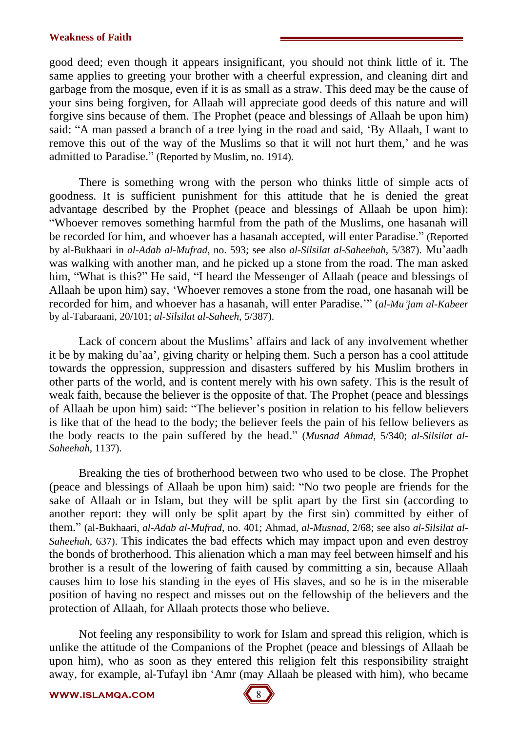good deed; even though it appears insignificant, you should not think little of it. The same applies to greeting your brother with a cheerful expression, and cleaning dirt and garbage from the mosque, even if it is as small as a straw. This deed may be the cause of your sins being forgiven, for Allaah will appreciate good deeds of this nature and will forgive sins because of them. The Prophet (peace and blessings of Allaah be upon him) said: "A man passed a branch of a tree lying in the road and said, 'By Allaah, I want to remove this out of the way of the Muslims so that it will not hurt them,' and he was admitted to Paradise." (Reported by Muslim, no. 1914).

There is something wrong with the person who thinks little of simple acts of goodness. It is sufficient punishment for this attitude that he is denied the great advantage described by the Prophet (peace and blessings of Allaah be upon him): ìWhoever removes something harmful from the path of the Muslims, one hasanah will be recorded for him, and whoever has a hasanah accepted, will enter Paradise." (Reported by al-Bukhaari in *al-Adab al-Mufrad*, no. 593; see also *al-Silsilat al-Saheehah*, 5/387). Muíaadh was walking with another man, and he picked up a stone from the road. The man asked him, "What is this?" He said, "I heard the Messenger of Allaah (peace and blessings of Allaah be upon him) say, ëWhoever removes a stone from the road, one hasanah will be recorded for him, and whoever has a hasanah, will enter Paradise.<sup>77</sup> (*al-Mu'jam al-Kabeer* by al-Tabaraani, 20/101; *al-Silsilat al-Saheeh*, 5/387).

Lack of concern about the Muslims' affairs and lack of any involvement whether it be by making duíaaí, giving charity or helping them. Such a person has a cool attitude towards the oppression, suppression and disasters suffered by his Muslim brothers in other parts of the world, and is content merely with his own safety. This is the result of weak faith, because the believer is the opposite of that. The Prophet (peace and blessings of Allaah be upon him) said: "The believer's position in relation to his fellow believers is like that of the head to the body; the believer feels the pain of his fellow believers as the body reacts to the pain suffered by the head.î (*Musnad Ahmad*, 5/340; *al-Silsilat al- Saheehah*, 1137).

Breaking the ties of brotherhood between two who used to be close. The Prophet (peace and blessings of Allaah be upon him) said: "No two people are friends for the sake of Allaah or in Islam, but they will be split apart by the first sin (according to another report: they will only be split apart by the first sin) committed by either of them.î (al-Bukhaari, *al-Adab al-Mufrad*, no. 401; Ahmad, *al-Musnad*, 2/68; see also *al-Silsilat al- Saheehah*, 637). This indicates the bad effects which may impact upon and even destroy the bonds of brotherhood. This alienation which a man may feel between himself and his brother is a result of the lowering of faith caused by committing a sin, because Allaah causes him to lose his standing in the eyes of His slaves, and so he is in the miserable position of having no respect and misses out on the fellowship of the believers and the protection of Allaah, for Allaah protects those who believe.

Not feeling any responsibility to work for Islam and spread this religion, which is unlike the attitude of the Companions of the Prophet (peace and blessings of Allaah be upon him), who as soon as they entered this religion felt this responsibility straight away, for example, al-Tufayl ibn 'Amr (may Allaah be pleased with him), who became

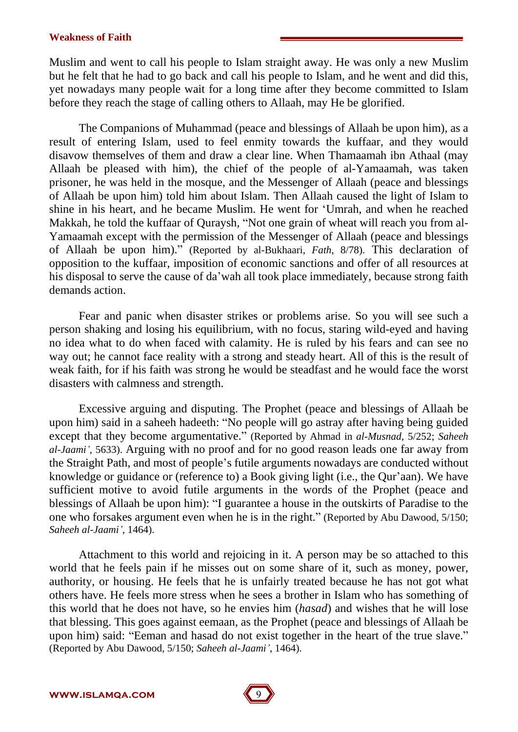Muslim and went to call his people to Islam straight away. He was only a new Muslim but he felt that he had to go back and call his people to Islam, and he went and did this, yet nowadays many people wait for a long time after they become committed to Islam before they reach the stage of calling others to Allaah, may He be glorified.

The Companions of Muhammad (peace and blessings of Allaah be upon him), as a result of entering Islam, used to feel enmity towards the kuffaar, and they would disavow themselves of them and draw a clear line. When Thamaamah ibn Athaal (may Allaah be pleased with him), the chief of the people of al-Yamaamah, was taken prisoner, he was held in the mosque, and the Messenger of Allaah (peace and blessings of Allaah be upon him) told him about Islam. Then Allaah caused the light of Islam to shine in his heart, and he became Muslim. He went for ëUmrah, and when he reached Makkah, he told the kuffaar of Quraysh, "Not one grain of wheat will reach you from al-Yamaamah except with the permission of the Messenger of Allaah (peace and blessings of Allaah be upon him).î (Reported by al-Bukhaari, *Fath*, 8/78). This declaration of opposition to the kuffaar, imposition of economic sanctions and offer of all resources at his disposal to serve the cause of da'wah all took place immediately, because strong faith demands action.

Fear and panic when disaster strikes or problems arise. So you will see such a person shaking and losing his equilibrium, with no focus, staring wild-eyed and having no idea what to do when faced with calamity. He is ruled by his fears and can see no way out; he cannot face reality with a strong and steady heart. All of this is the result of weak faith, for if his faith was strong he would be steadfast and he would face the worst disasters with calmness and strength.

Excessive arguing and disputing. The Prophet (peace and blessings of Allaah be upon him) said in a saheeh hadeeth: "No people will go astray after having being guided except that they become argumentative." (Reported by Ahmad in *al-Musnad*, 5/252; *Saheeh al-Jaamií*, 5633). Arguing with no proof and for no good reason leads one far away from the Straight Path, and most of people's futile arguments nowadays are conducted without knowledge or guidance or (reference to) a Book giving light (i.e., the Qur'aan). We have sufficient motive to avoid futile arguments in the words of the Prophet (peace and blessings of Allaah be upon him): "I guarantee a house in the outskirts of Paradise to the one who forsakes argument even when he is in the right." (Reported by Abu Dawood,  $5/150$ ; *Saheeh al-Jaamií*, 1464).

Attachment to this world and rejoicing in it. A person may be so attached to this world that he feels pain if he misses out on some share of it, such as money, power, authority, or housing. He feels that he is unfairly treated because he has not got what others have. He feels more stress when he sees a brother in Islam who has something of this world that he does not have, so he envies him (*hasad*) and wishes that he will lose that blessing. This goes against eemaan, as the Prophet (peace and blessings of Allaah be upon him) said: "Eeman and hasad do not exist together in the heart of the true slave." (Reported by Abu Dawood, 5/150; *Saheeh al-Jaamií*, 1464).

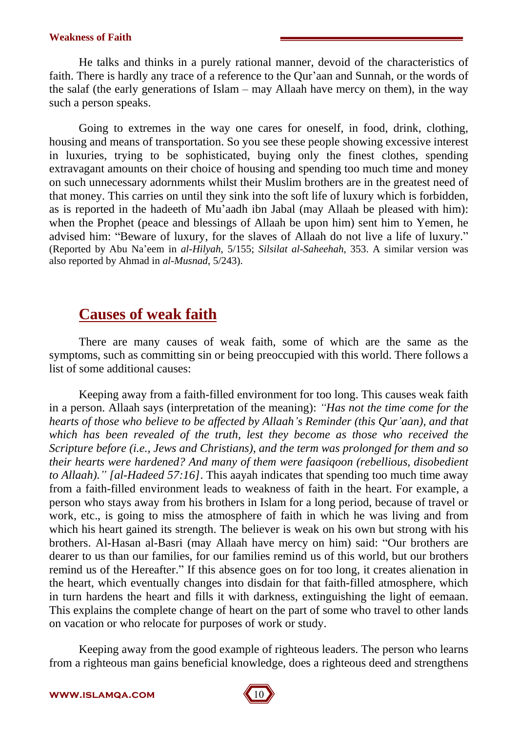He talks and thinks in a purely rational manner, devoid of the characteristics of faith. There is hardly any trace of a reference to the Qur'aan and Sunnah, or the words of the salaf (the early generations of Islam  $-$  may Allaah have mercy on them), in the way such a person speaks.

Going to extremes in the way one cares for oneself, in food, drink, clothing, housing and means of transportation. So you see these people showing excessive interest in luxuries, trying to be sophisticated, buying only the finest clothes, spending extravagant amounts on their choice of housing and spending too much time and money on such unnecessary adornments whilst their Muslim brothers are in the greatest need of that money. This carries on until they sink into the soft life of luxury which is forbidden, as is reported in the hadeeth of Muíaadh ibn Jabal (may Allaah be pleased with him): when the Prophet (peace and blessings of Allaah be upon him) sent him to Yemen, he advised him: "Beware of luxury, for the slaves of Allaah do not live a life of luxury." (Reported by Abu Naíeem in *al-Hilyah*, 5/155; *Silsilat al-Saheehah*, 353. A similar version was also reported by Ahmad in *al-Musnad*, 5/243).

## **Causes of weak faith**

There are many causes of weak faith, some of which are the same as the symptoms, such as committing sin or being preoccupied with this world. There follows a list of some additional causes:

Keeping away from a faith-filled environment for too long. This causes weak faith in a person. Allaah says (interpretation of the meaning): *ìHas not the time come for the* hearts of those who believe to be affected by Allaah's Reminder (this Qur'aan), and that *which has been revealed of the truth, lest they become as those who received the Scripture before (i.e., Jews and Christians), and the term was prolonged for them and so their hearts were hardened? And many of them were faasiqoon (rebellious, disobedient to Allaah).î [al-Hadeed 57:16]*. This aayah indicates that spending too much time away from a faith-filled environment leads to weakness of faith in the heart. For example, a person who stays away from his brothers in Islam for a long period, because of travel or work, etc., is going to miss the atmosphere of faith in which he was living and from which his heart gained its strength. The believer is weak on his own but strong with his brothers. Al-Hasan al-Basri (may Allaah have mercy on him) said: "Our brothers are dearer to us than our families, for our families remind us of this world, but our brothers remind us of the Hereafter." If this absence goes on for too long, it creates alienation in the heart, which eventually changes into disdain for that faith-filled atmosphere, which in turn hardens the heart and fills it with darkness, extinguishing the light of eemaan. This explains the complete change of heart on the part of some who travel to other lands on vacation or who relocate for purposes of work or study.

Keeping away from the good example of righteous leaders. The person who learns from a righteous man gains beneficial knowledge, does a righteous deed and strengthens

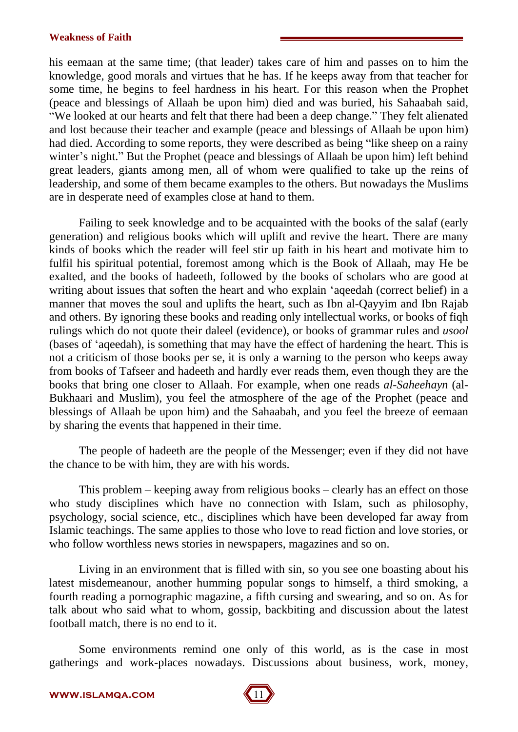his eemaan at the same time; (that leader) takes care of him and passes on to him the knowledge, good morals and virtues that he has. If he keeps away from that teacher for some time, he begins to feel hardness in his heart. For this reason when the Prophet (peace and blessings of Allaah be upon him) died and was buried, his Sahaabah said, "We looked at our hearts and felt that there had been a deep change." They felt alienated and lost because their teacher and example (peace and blessings of Allaah be upon him) had died. According to some reports, they were described as being "like sheep on a rainy winter's night." But the Prophet (peace and blessings of Allaah be upon him) left behind great leaders, giants among men, all of whom were qualified to take up the reins of leadership, and some of them became examples to the others. But nowadays the Muslims are in desperate need of examples close at hand to them.

Failing to seek knowledge and to be acquainted with the books of the salaf (early generation) and religious books which will uplift and revive the heart. There are many kinds of books which the reader will feel stir up faith in his heart and motivate him to fulfil his spiritual potential, foremost among which is the Book of Allaah, may He be exalted, and the books of hadeeth, followed by the books of scholars who are good at writing about issues that soften the heart and who explain ëaqeedah (correct belief) in a manner that moves the soul and uplifts the heart, such as Ibn al-Qayyim and Ibn Rajab and others. By ignoring these books and reading only intellectual works, or books of fiqh rulings which do notquote their daleel (evidence), or books of grammar rules and *usool* (bases of ëaqeedah), is something that may have the effect of hardening the heart. This is not a criticism of those books per se, it is only a warning to the person who keeps away from books of Tafseer and hadeeth and hardly ever reads them, even though they are the books that bring one closer to Allaah. For example, when one reads *al-Saheehayn* (al- Bukhaari and Muslim), you feel the atmosphere of the age of the Prophet (peace and blessings of Allaah be upon him) and the Sahaabah, and you feel the breeze of eemaan by sharing the events that happened in their time.

The people of hadeeth are the people of the Messenger; even if they did not have the chance to be with him, they are with his words.

This problem  $-$  keeping away from religious books  $-$  clearly has an effect on those who study disciplines which have no connection with Islam, such as philosophy, psychology, social science, etc., disciplines which have been developed far away from Islamic teachings. The same applies to those who love to read fiction and love stories, or who follow worthless news stories in newspapers, magazines and so on.

Living in an environment that is filled with sin, so you see one boasting about his latest misdemeanour, another humming popular songs to himself, a third smoking, a fourth reading a pornographic magazine, a fifth cursing and swearing, and so on. As for talk about who said what to whom, gossip, backbiting and discussion about the latest football match, there is no end to it.

Some environments remind one only of this world, as is the case in most gatherings and work-places nowadays. Discussions about business, work, money,

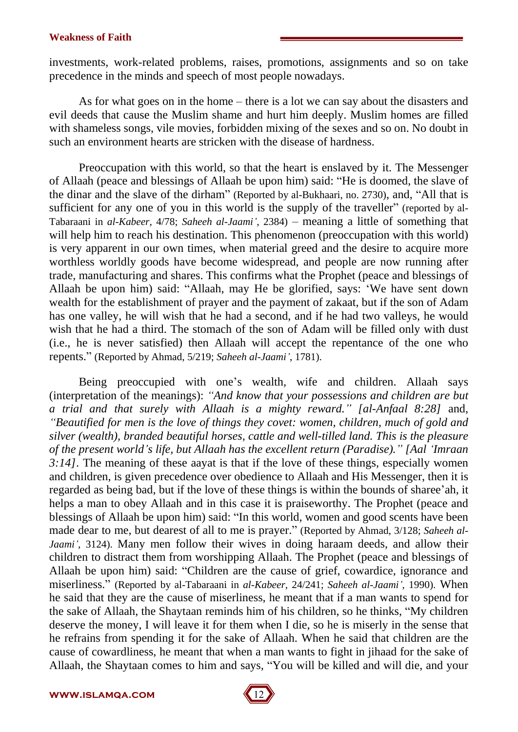investments, work-related problems, raises, promotions, assignments and so on take precedence in the minds and speech of most people nowadays.

As for what goes on in the home  $-$  there is a lot we can say about the disasters and evil deeds that cause the Muslim shame and hurt him deeply. Muslim homes are filled with shameless songs, vile movies, forbidden mixing of the sexes and so on. No doubt in such an environment hearts are stricken with the disease of hardness.

Preoccupation with this world, so that the heart is enslaved by it. The Messenger of Allaah (peace and blessings of Allaah be upon him) said: "He is doomed, the slave of the dinar and the slave of the dirham<sup>"</sup> (Reported by al-Bukhaari, no. 2730), and, "All that is sufficient for any one of you in this world is the supply of the traveller" (reported by al-Tabaraani in *al-Kabeer*, 4/78; *Saheeh al-Jaami*<sup>'</sup>, 2384) – meaning a little of something that will help him to reach his destination. This phenomenon (preoccupation with this world) is very apparent in our own times, when material greed and the desire to acquire more worthless worldly goods have become widespread, and people are now running after trade, manufacturing and shares. This confirms what the Prophet (peace and blessings of Allaah be upon him) said: "Allaah, may He be glorified, says: 'We have sent down wealth for the establishment of prayer and the payment of zakaat, but if the son of Adam has one valley, he will wish that he had a second, and if he had two valleys, he would wish that he had a third. The stomach of the son of Adam will be filled only with dust (i.e., he is never satisfied) then Allaah will accept the repentance of the one who repents.î (Reported by Ahmad, 5/219; *Saheeh al-Jaamií*, 1781).

Being preoccupied with one's wealth, wife and children. Allaah says (interpretation of the meanings): *ìAnd know that your possessions and children are but a trial and that surely with Allaah is a mighty reward.î [al-Anfaal 8:28]* and, *ìBeautified for men is the love of things they covet: women, children, much of gold and silver (wealth), branded beautiful horses, cattle and well-tilled land. This is the pleasure of the present worldís life, but Allaah has the excellent return (Paradise).î [AalëImraan 3:14]*. The meaning of these aayat is that if the love of these things, especially women and children, is given precedence over obedience to Allaah and His Messenger, then it is regarded as being bad, but if the love of these things is within the bounds of sharee'ah, it helps a man to obey Allaah and in this case it is praiseworthy. The Prophet (peace and blessings of Allaah be upon him) said: "In this world, women and good scents have been made dear to me, but dearest of all to me is prayer." (Reported by Ahmad,  $3/128$ ; *Saheeh al-Jaamií*, 3124). Many men follow their wives in doing haraam deeds, and allow their children to distract them from worshipping Allaah. The Prophet (peace and blessings of Allaah be upon him) said: "Children are the cause of grief, cowardice, ignorance and miserliness.î (Reported by al-Tabaraani in *al-Kabeer*, 24/241; *Saheeh al-Jaamií*, 1990). When he said that they are the cause of miserliness, he meant that if a man wants to spend for the sake of Allaah, the Shaytaan reminds him of his children, so he thinks, "My children deserve the money, I will leave it for them when I die, so he is miserly in the sense that he refrains from spending it for the sake of Allaah. When he said that children are the cause of cowardliness, he meant that when a man wants to fight in jihaad for the sake of Allaah, the Shaytaan comes to him and says, "You will be killed and will die, and your

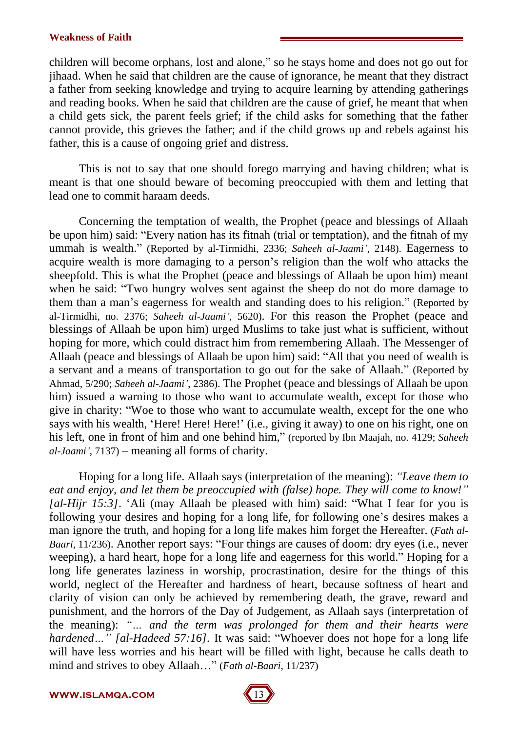children will become orphans, lost and alone," so he stays home and does not go out for jihaad. When he said that children are the cause of ignorance, he meant that they distract a father from seeking knowledge and trying to acquire learning by attending gatherings and reading books. When he said that children are the cause of grief, he meant that when a child gets sick, the parent feels grief; if the child asks for something that the father cannot provide, this grieves the father; and if the child grows up and rebels against his father, this is a cause of ongoing grief and distress.

This is not to say that one should forego marrying and having children; what is meant is that one should beware of becoming preoccupied with them and letting that lead one to commit haraam deeds.

Concerning the temptation of wealth, the Prophet (peace and blessings of Allaah be upon him) said: "Every nation has its fitnah (trial or temptation), and the fitnah of my ummah is wealth." (Reported by al-Tirmidhi, 2336; *Saheeh al-Jaami*<sup>'</sup>, 2148). Eagerness to acquire wealth is more damaging to a person's religion than the wolf who attacks the sheepfold. This is what the Prophet (peace and blessings of Allaah be upon him) meant when he said: "Two hungry wolves sent against the sheep do not do more damage to them than a man's eagerness for wealth and standing does to his religion." (Reported by al-Tirmidhi, no. 2376; *Saheeh al-Jaamií*, 5620). For this reason the Prophet (peace and blessings of Allaah be upon him) urged Muslims to take just what is sufficient, without hoping for more, which could distract him from remembering Allaah. The Messenger of Allaah (peace and blessings of Allaah be upon him) said: "All that you need of wealth is a servant and a means of transportation to go out for the sake of Allaah." (Reported by Ahmad, 5/290; *Saheeh al-Jaamií*, 2386). The Prophet (peace and blessings of Allaah be upon him) issued a warning to those who want to accumulate wealth, except for those who give in charity: "Woe to those who want to accumulate wealth, except for the one who says with his wealth, 'Here! Here! Here!' (i.e., giving it away) to one on his right, one on his left, one in front of him and one behind him," (reported by Ibn Maajah, no. 4129; *Saheeh al-Jaami'*, 7137) – meaning all forms of charity.

Hoping for a long life.Allaah says (interpretation of the meaning): *ìLeave them to eat and enjoy, and let them be preoccupied with (false) hope. They will come to know!î [al-Hijr 15:3]*. Ali (may Allaah be pleased with him) said: "What I fear for you is following your desires and hoping for a long life, for following one's desires makes a man ignore the truth, and hoping for a long life makes him forget the Hereafter. (*Fath al- Baari*, 11/236). Another report says: "Four things are causes of doom: dry eyes (i.e., never weeping), a hard heart, hope for a long life and eagerness for this world." Hoping for a long life generates laziness in worship, procrastination, desire for the things of this world, neglect of the Hereafter and hardness of heart, because softness of heart and clarity of vision can only be achieved by remembering death, the grave, reward and punishment, and the horrors of the Day of Judgement, as Allaah says (interpretation of the meaning): *ìÖ and the term was prolonged for them and their hearts were hardened...*" [al-Hadeed 57:16]. It was said: "Whoever does not hope for a long life will have less worries and his heart will be filled with light, because he calls death to mind and strives to obey Allaah..." (*Fath al-Baari*, 11/237)

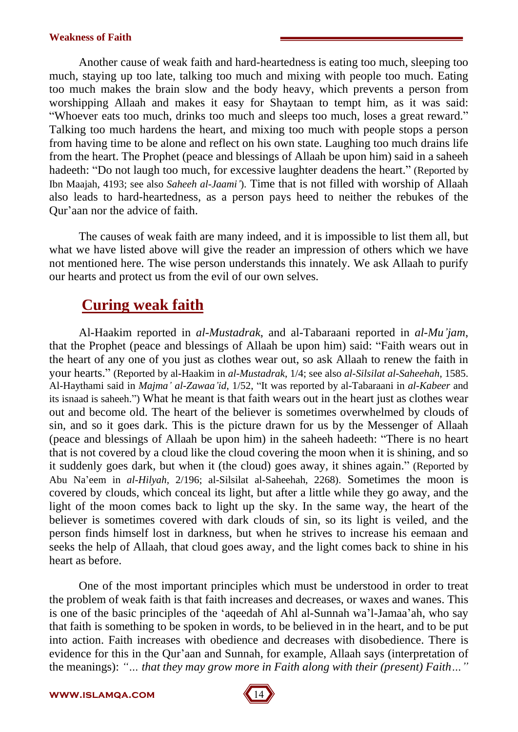Another cause of weak faith and hard-heartedness is eating too much, sleeping too much, staying up too late, talking too much and mixing with people too much. Eating too much makes the brain slow and the body heavy, which prevents a person from worshipping Allaah and makes it easy for Shaytaan to tempt him, as it was said: "Whoever eats too much, drinks too much and sleeps too much, loses a great reward." Talking too much hardens the heart, and mixing too much with people stops a person from having time to be alone and reflect on his own state. Laughing too much drains life from the heart. The Prophet (peace and blessings of Allaah be upon him) said in a saheeh hadeeth: "Do not laugh too much, for excessive laughter deadens the heart." (Reported by Ibn Maajah, 4193; see also *Saheeh al-Jaamií*). Time that is not filled with worship of Allaah also leads to hard-heartedness, as a person pays heed to neither the rebukes of the Qur'aan nor the advice of faith.

The causes of weak faith are many indeed, and it is impossible to list them all, but what we have listed above will give the reader an impression of others which we have not mentioned here. The wise person understands this innately. We ask Allaah to purify our hearts and protect us from the evil of our own selves.

## **Curing weak faith**

Al-Haakim reported in *al-Mustadrak*, and al-Tabaraani reported in *al-Muíjam*, that the Prophet (peace and blessings of Allaah be upon him) said: "Faith wears out in the heart of any one of you just as clothes wear out, so ask Allaah to renew the faith in your hearts.î (Reported by al-Haakim in *al-Mustadrak*, 1/4; see also *al-Silsilat al-Saheehah*, 1585. Al-Haythami said in *Majma' al-Zawaa'id*, 1/52, "It was reported by al-Tabaraani in *al-Kabeer* and its isnaad is saheeh.") What he meant is that faith wears out in the heart just as clothes wear out and become old. The heart of the believer is sometimes overwhelmed by clouds of sin, and so it goes dark. This is the picture drawn for us by the Messenger of Allaah (peace and blessings of Allaah be upon him) in the saheeh hadeeth: "There is no heart that is not covered by a cloud like the cloud covering the moon when it is shining, and so it suddenly goes dark, but when it (the cloud) goes away, it shines again." (Reported by Abu Naíeem in *al-Hilyah*, 2/196; al-Silsilat al-Saheehah, 2268). Sometimes the moon is covered by clouds, which conceal its light, but after a little while they go away, and the light of the moon comes back to light up the sky. In the same way, the heart of the believer is sometimes covered with dark clouds of sin, so its light is veiled, and the person finds himself lost in darkness, but when he strives to increase his eemaan and seeks the help of Allaah, that cloud goes away, and the light comes back to shine in his heart as before.

One of the most important principles which must be understood in order to treat the problem of weak faith is that faith increases and decreases, or waxes and wanes. This is one of the basic principles of the 'aqeedah of Ahl al-Sunnah wa'l-Jamaa'ah, who say that faith is something to be spoken in words, to be believed in in the heart, and to be put into action. Faith increases with obedience and decreases with disobedience. There is evidence for this in the Qur'aan and Sunnah, for example, Allaah says (interpretation of the meanings): "... *that they may grow more in Faith along with their (present) Faith...*"

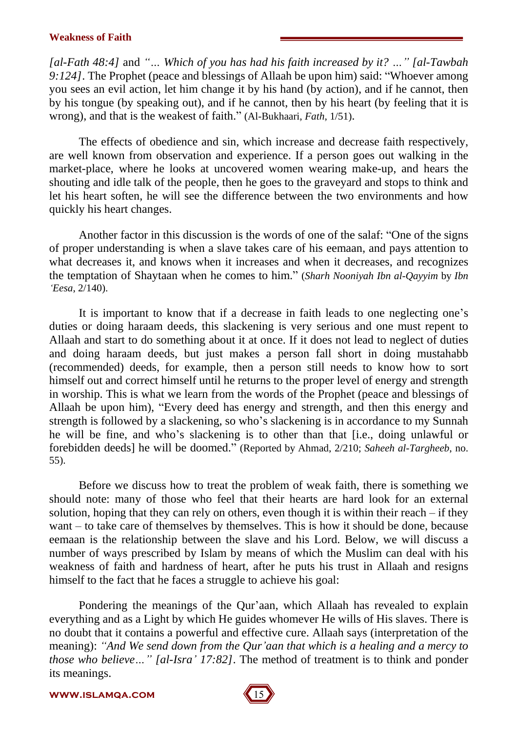*[al-Fath* 48:4] and " $\ldots$  *Which of you has had his faith increased by it?*  $\ldots$  " *[al-Tawbah 9:124]*. The Prophet (peace and blessings of Allaah be upon him) said: "Whoever among you sees an evil action, let him change it by his hand (by action), and if he cannot, then by his tongue (by speaking out), and if he cannot, then by his heart (by feeling that it is wrong), and that is the weakest of faith." (Al-Bukhaari, *Fath*, 1/51).

The effects of obedience and sin, which increase and decrease faith respectively, are well known from observation and experience. If a person goes out walking in the market-place, where he looks at uncovered women wearing make-up, and hears the shouting and idle talk of the people, then he goes to the graveyard and stops to think and let his heart soften, he will see the difference between the two environments and how quickly his heart changes.

Another factor in this discussion is the words of one of the salaf: "One of the signs of proper understanding is when a slave takes care of his eemaan, and pays attention to what decreases it, and knows when it increases and when it decreases, and recognizes the temptation of Shaytaan when he comes to him.î (*Sharh Nooniyah Ibn al-Qayyim* by *Ibn ëEesa*, 2/140).

It is important to know that if a decrease in faith leads to one neglecting one's duties or doing haraam deeds, this slackening is very serious and one must repent to Allaah and start to do something about it at once. If it does not lead to neglect of duties and doing haraam deeds, but just makes a person fall short in doing mustahabb (recommended) deeds, for example, then a person still needs to know how to sort himself out and correct himself until he returns to the proper level of energy and strength in worship. This is what we learn from the words of the Prophet (peace and blessings of Allaah be upon him), "Every deed has energy and strength, and then this energy and strength is followed by a slackening, so who's slackening is in accordance to my Sunnah he will be fine, and who's slackening is to other than that [i.e., doing unlawful or forebidden deeds] he will be doomed." (Reported by Ahmad, 2/210; *Saheeh al-Targheeb*, no. 55).

Before we discuss how to treat the problem of weak faith, there is something we should note: many of those who feel that their hearts are hard look for an external solution, hoping that they can rely on others, even though it is within their reach  $-$  if they want  $-$  to take care of themselves by themselves. This is how it should be done, because eemaan is the relationship between the slave and his Lord. Below, we will discuss a number of ways prescribed by Islam by means of which the Muslim can deal with his weakness of faith and hardness of heart, after he puts his trust in Allaah and resigns himself to the fact that he faces a struggle to achieve his goal:

Pondering the meanings of the Qur'aan, which Allaah has revealed to explain everything and as a Light by which He guides whomever He wills of His slaves. There is no doubt that it contains a powerful and effective cure. Allaah says (interpretation of the meaning): *ìAnd We send down from the Quríaan that which is a healing and a mercy to those who believe...*" [al-Isra' 17:82]. The method of treatment is to think and ponder its meanings.

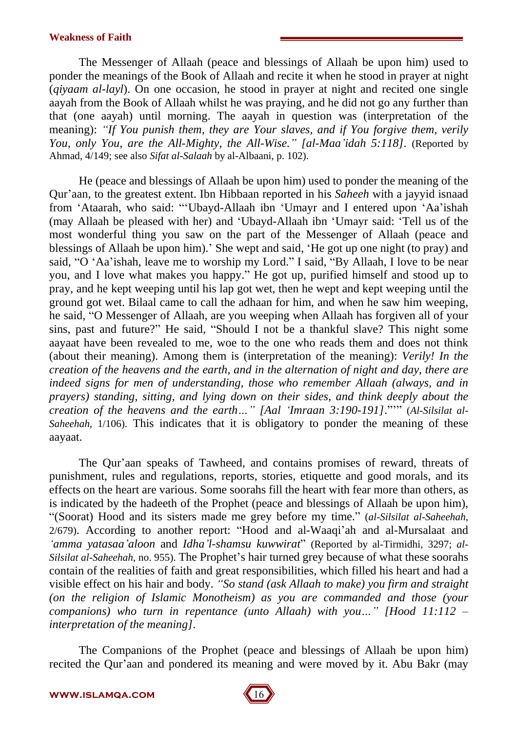The Messenger of Allaah (peace and blessings of Allaah be upon him) used to ponder the meanings of the Book of Allaah and recite it when he stood in prayer at night (*qiyaam al-layl*). On one occasion, he stood in prayer at night and recited one single aayah from the Book of Allaah whilst he was praying, and he did not go any further than that (one aayah) until morning. The aayah in question was (interpretation of the meaning): *ìIf You punish them, they are Your slaves, and if You forgive them, verily You, only You, are the All-Mighty, the All-Wise.î [al-Maaíidah 5:118].* (Reported by Ahmad, 4/149; see also *Sifat al-Salaah* by al-Albaani, p. 102).

He (peace and blessings of Allaah be upon him) used to ponder the meaning of the Quríaan, to the greatest extent. Ibn Hibbaan reported in his *Saheeh* with a jayyid isnaad from 'Ataarah, who said: "'Ubayd-Allaah ibn 'Umayr and I entered upon 'Aa'ishah (may Allaah be pleased with her) and ëUbayd-Allaah ibn ëUmayr said: ëTell us of the most wonderful thing you saw on the part of the Messenger of Allaah (peace and blessings of Allaah be upon him). She wept and said, 'He got up one night (to pray) and said, "O 'Aa'ishah, leave me to worship my Lord." I said, "By Allaah, I love to be near you, and I love what makes you happy." He got up, purified himself and stood up to pray, and he kept weeping until his lap got wet, then he wept and kept weeping until the ground got wet. Bilaal came to call the adhaan for him, and when he saw him weeping, he said, "O Messenger of Allaah, are you weeping when Allaah has forgiven all of your sins, past and future?" He said, "Should I not be a thankful slave? This night some aayaat have been revealed to me, woe to the one who reads them and does not think (about their meaning). Among them is (interpretation of the meaning): *Verily! In the creation of the heavens and the earth, and in the alternation of night and day, there are indeed signs for men of understanding, those who remember Allaah (always, and in prayers) standing, sitting, and lying down on their sides, and think deeply about the creation of the heavens and the earth III.* [Aal *'Imraan* 3:190-191]."<sup>*m*</sup> (Al-Silsilat al-*Saheehah*, 1/106). This indicates that it is obligatory to ponder the meaning of these aayaat.<br>The Qur'aan speaks of Tawheed, and contains promises of reward, threats of

punishment, rules and regulations, reports, stories, etiquette and good morals, and its effects on the heart are various. Some soorahs fill the heart with fear more than others, as is indicated by the hadeeth of the Prophet (peace and blessings of Allaah be upon him), ì(Soorat) Hood and its sisters made me grey before my time.î (*al-Silsilat al-Saheehah*, 2/679). According to another report: "Hood and al-Waaqi'ah and al-Mursalaat and *ëamma yatasaaíaloon* and *Idhaíl-shamsu kuwwirat*î (Reported by al-Tirmidhi, 3297; *al- Silsilat al-Saheehah*, no. 955). The Prophet's hair turned grey because of what these soorahs contain of the realities of faith and great responsibilities, which filled his heart and had a visible effect on his hair and body. *ìSo stand (ask Allaah to make) you firm and straight (on the religion of Islamic Monotheism) as you are commanded and those (your companions*) who *turn* in *repentance* (*unto Allaah*) with *you*..." [Hood 11:112 – *interpretation of the meaning].*

The Companions of the Prophet (peace and blessings of Allaah be upon him) recited the Qur'aan and pondered its meaning and were moved by it. Abu Bakr (may

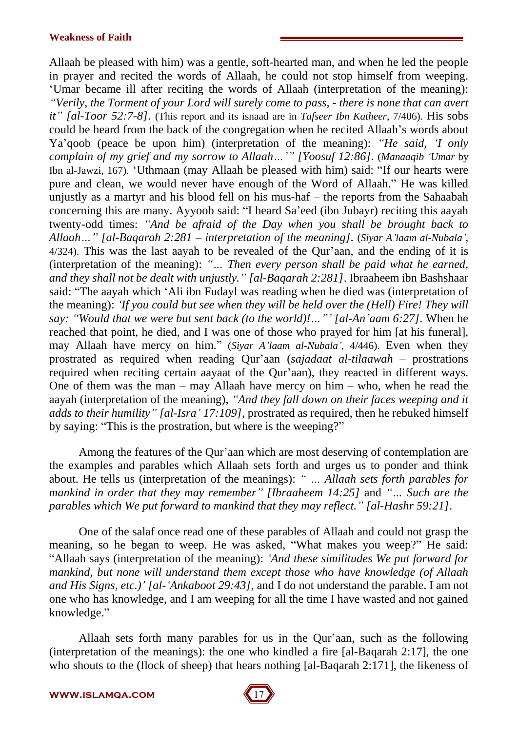Allaah be pleased with him) was a gentle, soft-hearted man, and when he led the people in prayer and recited the words of Allaah, he could not stop himself from weeping. ëUmar became ill after reciting the words of Allaah (interpretation of the meaning): *ìVerily, the Torment of your Lord will surely come to pass, - there is none that can avert itî [al-Toor 52:7-8]*. (This report and its isnaad are in *Tafseer Ibn Katheer*, 7/406). His sobs could be heard from the back of the congregation when he recited Allaah's words about Ya'qoob (peace be upon him) (interpretation of the meaning): *'He said*, *T only complain of my grief and my sorrow to Allaah*<sup>*m*</sup> *[Yoosuf 12:86]*. (*Manaaqib 'Umar* by Ibn al-Jawzi, 167). 'Uthmaan (may Allaah be pleased with him) said: "If our hearts were pure and clean, we would never have enough of the Word of Allaah." He was killed unjustly as a martyr and his blood fell on his mus-haf  $-$  the reports from the Sahaabah concerning this are many. Ayyoob said: "I heard Sa'eed (ibn Jubayr) reciting this aayah twenty-odd times: *ìAnd be afraid of the Day when you shall be brought back to AllaahÖî [al-Baqarah 2:281 ñ interpretation of the meaning].* (*Siyar Aílaam al-Nubalaí*,  $4/324$ ). This was the last aayah to be revealed of the Qur'aan, and the ending of it is (interpretation of the meaning): "... Then every person shall be paid what he earned, *and they shall not be dealt with unjustly.î [al-Baqarah 2:281]*. Ibraaheem ibn Bashshaar said: "The aayah which 'Ali ibn Fudayl was reading when he died was (interpretation of the meaning): *ëIf you could but see when they will be held over the (Hell) Fire! They will say:* "Would that we were but sent back (to the world)!..."' [al-An'aam 6:27]. When he reached that point, he died, and I was one of those who prayed for him [at his funeral], may Allaah have mercy on him.î (*Siyar Aílaam al-Nubalaí*, 4/446). Even when they prostrated as required when reading Qur'aan (*sajadaat al-tilaawah* – prostrations required when reciting certain aayaat of the Qur'aan), they reacted in different ways. One of them was the man – may Allaah have mercy on him – who, when he read the aayah (interpretation of the meaning), *ìAnd they fall down on their faces weeping and it adds to their humilityî [al-Israí 17:109]*, prostrated as required, then he rebuked himself by saying: "This is the prostration, but where is the weeping?"

Among the features of the Qur'aan which are most deserving of contemplation are the examples and parables which Allaah sets forth and urges us to ponder and think about. He tells us (interpretation of the meanings): *"* ... Allaah sets forth parables for *mankind in order that they may remember*<sup>*n*</sup> [Ibraaheem 14:25] and "... Such are the *parables which We put forward to mankind that they may reflect.î [al-Hashr 59:21]*.

One of the salaf once read one of these parables of Allaah and could not grasp the meaning, so he began to weep. He was asked, "What makes you weep?" He said: ìAllaah says (interpretation of the meaning): *ëAnd these similitudes We put forward for mankind, but none will understand them except those who have knowledge (of Allaah and His Signs, etc.)í [al-ëAnkaboot 29:43],* and I do not understand the parable. I am not one who has knowledge, and I am weeping for all the time I have wasted and not gained knowledge."

Allaah sets forth many parables for us in the Qur'aan, such as the following (interpretation of the meanings): the one who kindled a fire [al-Baqarah 2:17], the one who shouts to the (flock of sheep) that hears nothing [al-Baqarah 2:171], the likeness of

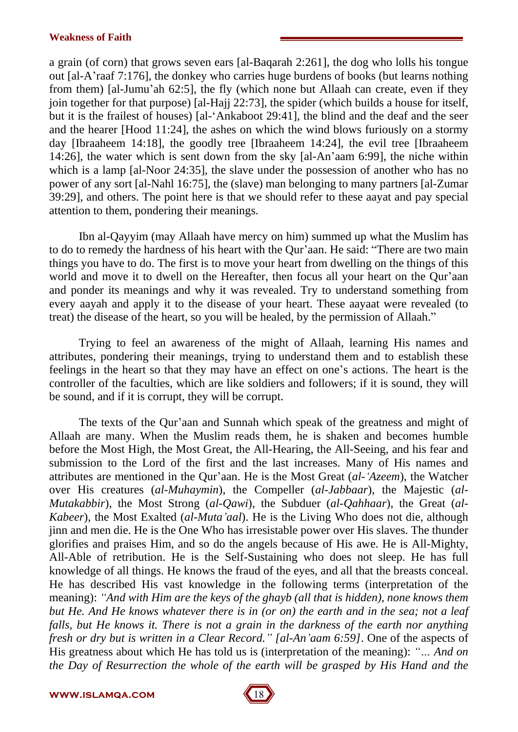a grain (of corn) that grows seven ears [al-Baqarah 2:261], the dog who lolls his tongue out [al-Aíraaf 7:176], the donkey who carries huge burdens of books (but learns nothing from them) [al-Jumu'ah 62:5], the fly (which none but Allaah can create, even if they join together for that purpose) [al-Hajj 22:73], the spider (which builds a house for itself, but it is the frailest of houses) [al-ëAnkaboot 29:41], the blind and the deaf and the seer and the hearer [Hood 11:24], the ashes on which the wind blows furiously on a stormy day [Ibraaheem 14:18], the goodly tree [Ibraaheem 14:24], the evil tree [Ibraaheem 14:26], the water which is sent down from the sky [al-Aníaam 6:99], the niche within which is a lamp [al-Noor 24:35], the slave under the possession of another who has no power of any sort [al-Nahl 16:75], the (slave) man belonging to many partners [al-Zumar 39:29], and others. The point here is that we should refer to these aayat and pay special attention to them, pondering their meanings.

Ibn al-Qayyim (may Allaah have mercy on him) summed up what the Muslim has to do to remedy the hardness of his heart with the Qur'aan. He said: "There are two main things you have to do. The first is to move your heart from dwelling on the things of this world and move it to dwell on the Hereafter, then focus all your heart on the Our'aan and ponder its meanings and why it was revealed. Try to understand something from every aayah and apply it to the disease of your heart. These aayaat were revealed (to treat) the disease of the heart, so you will be healed, by the permission of Allaah.<sup>"</sup>

Trying to feel an awareness of the might of Allaah, learning His names and attributes, pondering their meanings, trying to understand them and to establish these feelings in the heart so that they may have an effect on one's actions. The heart is the controller of the faculties, which are like soldiers and followers; if it is sound, they will be sound, and if it is corrupt, they will be corrupt.

The texts of the Qur'aan and Sunnah which speak of the greatness and might of Allaah are many. When the Muslim reads them, he is shaken and becomes humble before the Most High, the Most Great, the All-Hearing, the All-Seeing, and his fear and submission to the Lord of the first and the last increases. Many of His names and attributes are mentioned in the Our'aan. He is the Most Great (*al-'Azeem*), the Watcher over His creatures (*al-Muhaymin*), the Compeller (*al-Jabbaar*), the Majestic (*al- Mutakabbir*), the Most Strong (*al-Qawi*), the Subduer (*al-Qahhaar*), the Great (*al- Kabeer*), the Most Exalted (*al-Mutaíaal*). He is the Living Who does not die, although jinn and men die. He is the One Who has irresistable power over His slaves. The thunder glorifies and praises Him, and so do the angels because of His awe. He is All-Mighty, All-Able of retribution. He is the Self-Sustaining who does not sleep. He has full knowledge of all things. He knows the fraud of the eyes, and all that the breasts conceal. He has described His vast knowledge in the following terms (interpretation of the meaning): *ìAnd with Him are the keys of the ghayb (allthat is hidden), none knows them* but He. And He knows whatever there is in (or on) the earth and in the sea; not a leaf *falls, but He knows it. There is not a grain in the darkness of the earth nor anything fresh or dry but is written in a Clear Record.î [al-Aníaam 6:59]*. One of the aspects of His greatness about which He has told us is (interpretation of the meaning): *"*... And on *the Day of Resurrection the whole of the earth will be grasped by His Hand and the*

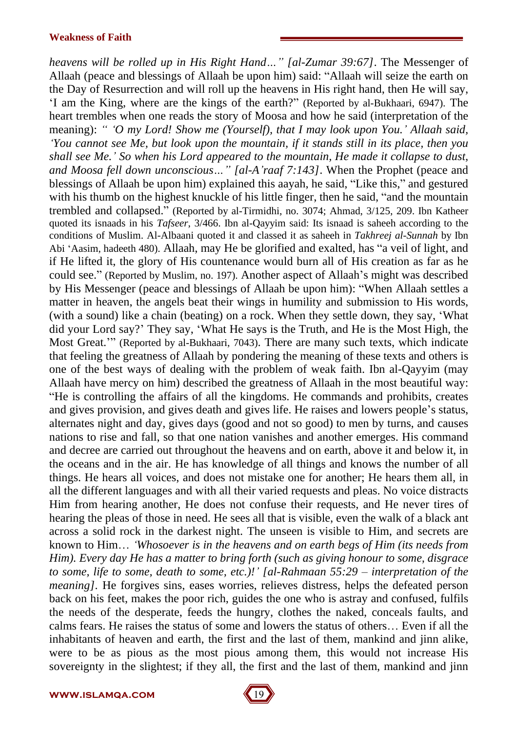*heavens will be rolled up in His Right HandÖî [al-Zumar 39:67]*. The Messenger of Allaah (peace and blessings of Allaah be upon him) said: "Allaah will seize the earth on the Day of Resurrection and will roll up the heavens in His right hand, then He will say, ëI am the King, where are the kings of the earth?î (Reported by al-Bukhaari, 6947). The heart trembles when one reads the story of Moosa and how he said (interpretation of the meaning): *ì ëO my Lord! Show me (Yourself), that I may look upon You.í Allaah said, ëYou cannot see Me, but look upon the mountain, if it stands still in its place, then you shall see Me.í So when his Lord appeared to the mountain, He made it collapse to dust, and Moosa fell down unconscious II [al-A 'raaf* 7:143]. When the Prophet (peace and blessings of Allaah be upon him) explained this aayah, he said, "Like this," and gestured with his thumb on the highest knuckle of his little finger, then he said, "and the mountain trembled and collapsed." (Reported by al-Tirmidhi, no. 3074; Ahmad, 3/125, 209. Ibn Katheer quoted its isnaads in his *Tafseer*, 3/466. Ibn al-Qayyim said: Its isnaad is saheeh according to the conditions of Muslim. Al-Albaani quoted it and classed it as saheeh in *Takhreej al-Sunnah* by Ibn Abi 'Aasim, hadeeth 480). Allaah, may He be glorified and exalted, has "a veil of light, and if He lifted it, the glory of His countenance would burn all of His creation as far as he could see." (Reported by Muslim, no. 197). Another aspect of Allaah's might was described by His Messenger (peace and blessings of Allaah be upon him): "When Allaah settles a matter in heaven, the angels beat their wings in humility and submission to His words, (with a sound) like a chain (beating) on a rock. When they settle down, they say, 'What did your Lord say?' They say, 'What He says is the Truth, and He is the Most High, the Most Great.<sup>77</sup> (Reported by al-Bukhaari, 7043). There are many such texts, which indicate that feeling the greatness of Allaah by pondering the meaning of these texts and others is one of the best ways of dealing with the problem of weak faith. Ibn al-Qayyim (may Allaah have mercy on him) described the greatness of Allaah in the most beautiful way: ìHe is controlling the affairs of all the kingdoms. He commands and prohibits, creates and gives provision, and gives death and gives life. He raises and lowers people's status, alternates night and day, gives days (good and not so good) to men by turns, and causes nations to rise and fall, so that one nation vanishes and another emerges. His command and decree are carried out throughout the heavens and on earth, above it and below it, in the oceans and in the air. He has knowledge of all things and knows the number of all things. He hears all voices, and does not mistake one for another; He hears them all, in all the different languages and with all their varied requests and pleas. No voice distracts Him from hearing another, He does not confuse their requests, and He never tires of hearing the pleas of those in need. He sees all that is visible, even the walk of a black ant across a solid rock in the darkest night. The unseen is visible to Him, and secrets are known to HimÖ *ëWhosoever is in the heavens and on earth begs of Him (its needs from Him). Every day He has a matter to bring forth (such as giving honour to some, disgrace to some, life to some, death to some, etc.)!í [al-Rahmaan 55:29 ñ interpretation of the meaning]*. He forgives sins, eases worries, relieves distress, helps the defeated person back on his feet, makes the poor rich, guides the one who is astray and confused, fulfils the needs of the desperate, feeds the hungry, clothes the naked, conceals faults, and calms fears. He raises the status of some and lowers the status of others... Even if all the inhabitants of heaven and earth, the first and the last of them, mankind and jinn alike, were to be as pious as the most pious among them, this would not increase His sovereignty in the slightest; if they all, the first and the last of them, mankind and jinn

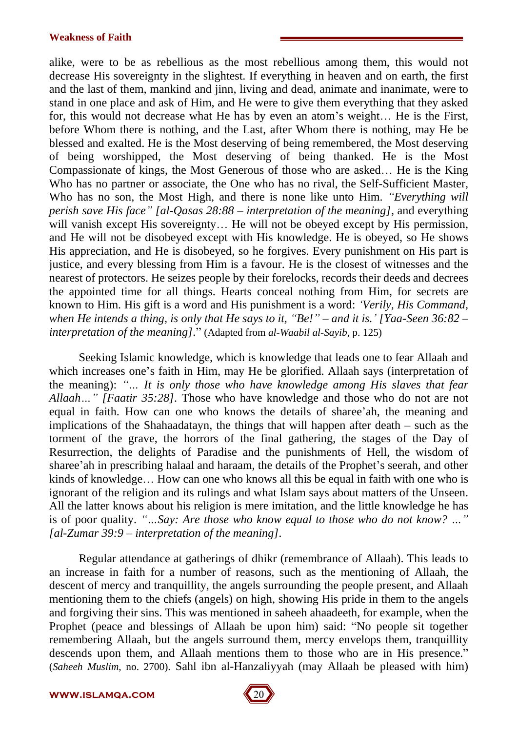alike, were to be as rebellious as the most rebellious among them, this would not decrease His sovereignty in the slightest. If everything in heaven and on earth, the first and the last of them, mankind and jinn, living and dead, animate and inanimate, were to stand in one place and ask of Him, and He were to give them everything that they asked for, this would not decrease what He has by even an atom's weight... He is the First, before Whom there is nothing, and the Last, after Whom there is nothing, may He be blessed and exalted. He is the Most deserving of being remembered, the Most deserving of being worshipped, the Most deserving of being thanked. He is the Most Compassionate of kings, the Most Generous of those who are asked... He is the King Who has no partner or associate, the One who has no rival, the Self-Sufficient Master, Who has no son, the Most High, and there is none like unto Him. *<i><del>Everything will*</del> *perish save His faceî [al-Qasas 28:88 ñ interpretation of the meaning]*, and everything will vanish except His sovereignty... He will not be obeyed except by His permission, and He will not be disobeyed except with His knowledge. He is obeyed, so He shows His appreciation, and He is disobeyed, so he forgives. Every punishment on His part is justice, and every blessing from Him is a favour. He is the closest of witnesses and the nearest of protectors. He seizes people by their forelocks, records their deeds and decrees the appointed time for all things. Hearts conceal nothing from Him, for secrets are known to Him. His gift is a word and His punishment is a word: *ëVerily, His Command,* when He intends a thing, is only that He says to it, "Be!" – and it is.' [Yaa-Seen  $36:82$  – *interpretation of the meaning].*î (Adapted from *al-Waabil al-Sayib*, p. 125)

Seeking Islamic knowledge, which is knowledge that leads one to fear Allaah and which increases one's faith in Him, may He be glorified. Allaah says (interpretation of the meaning): *ìÖ It is only those who have knowledge among His slaves that fear Allaah*<sup>*m*</sup> *[Faatir 35:28]*. Those who have knowledge and those who do not are not equal in faith. How can one who knows the details of sharee'ah, the meaning and implications of the Shahaadatayn, the things that will happen after death  $-$  such as the torment of the grave, the horrors of the final gathering, the stages of the Day of Resurrection, the delights of Paradise and the punishments of Hell, the wisdom of sharee'ah in prescribing halaal and haraam, the details of the Prophet's seerah, and other kinds of knowledge... How can one who knows all this be equal in faith with one who is ignorant of the religion and its rulings and what Islam says about matters of the Unseen. All the latter knows about his religion is mere imitation, and the little knowledge he has is of poor quality. "...Say: Are those who know equal to those who do not know? ..." *[al-Zumar* 39:9 – *interpretation of the meaning*].

Regular attendance at gatherings of dhikr (remembrance of Allaah). This leads to an increase in faith for a number of reasons, such as the mentioning of Allaah, the descent of mercy and tranquillity, the angels surrounding the people present, and Allaah mentioning them to the chiefs (angels) on high, showing His pride in them to the angels and forgiving their sins. This was mentioned in saheeh ahaadeeth, for example, when the Prophet (peace and blessings of Allaah be upon him) said: "No people sit together remembering Allaah, but the angels surround them, mercy envelops them, tranquillity descends upon them, and Allaah mentions them to those who are in His presence.<sup>"</sup> (*Saheeh Muslim*, no. 2700). Sahl ibn al-Hanzaliyyah (may Allaah be pleased with him)

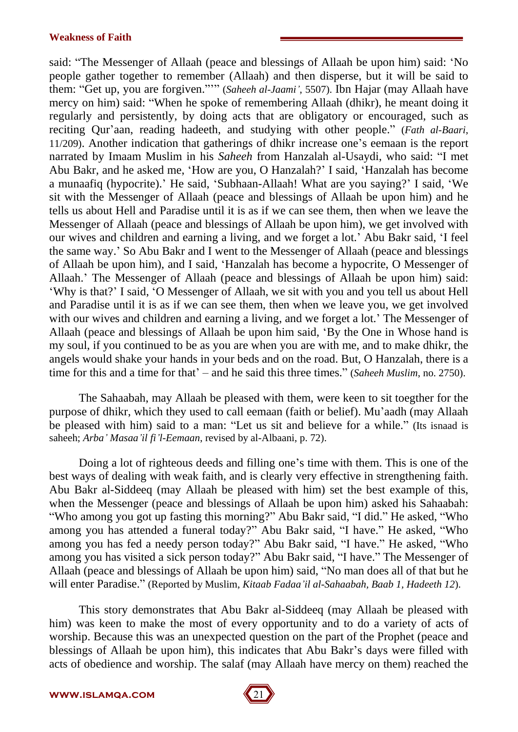said: "The Messenger of Allaah (peace and blessings of Allaah be upon him) said: 'No people gather together to remember (Allaah) and then disperse, but it will be said to them: "Get up, you are forgiven.""" (Saheeh al-Jaami', 5507). Ibn Hajar (may Allaah have mercy on him) said: "When he spoke of remembering Allaah (dhikr), he meant doing it regularly and persistently, by doing acts that are obligatory or encouraged, such as reciting Our'aan, reading hadeeth, and studying with other people.<sup>"</sup> (*Fath al-Baari*,  $11/209$ ). Another indication that gatherings of dhikr increase one's eemaan is the report narrated by Imaam Muslim in his *Saheeh* from Hanzalah al-Usaydi, who said: "I met Abu Bakr, and he asked me, 'How are you, O Hanzalah?' I said, 'Hanzalah has become a munaafiq (hypocrite).' He said, 'Subhaan-Allaah! What are you saying?' I said, 'We sit with the Messenger of Allaah (peace and blessings of Allaah be upon him) and he tells us about Hell and Paradise until it is as if we can see them, then when we leave the Messenger of Allaah (peace and blessings of Allaah be upon him), we get involved with our wives and children and earning a living, and we forget a lot.' Abu Bakr said, 'I feel the same way.' So Abu Bakr and I went to the Messenger of Allaah (peace and blessings of Allaah be upon him), and I said, ëHanzalah has become a hypocrite, O Messenger of Allaah.<sup>†</sup> The Messenger of Allaah (peace and blessings of Allaah be upon him) said: ëWhy is that?í I said, ëO Messenger of Allaah, we sitwith you and you tell us about Hell and Paradise until it is as if we can see them, then when we leave you, we get involved with our wives and children and earning a living, and we forget a lot. The Messenger of Allaah (peace and blessings of Allaah be upon him said, 'By the One in Whose hand is my soul, if you continued to be as you are when you are with me, and to make dhikr, the angels would shake your hands in your beds and on the road. But, O Hanzalah, there is a time for this and a time for that  $\dot{\ }$  – and he said this three times." (*Saheeh Muslim*, no. 2750).

The Sahaabah, may Allaah be pleased with them, were keen to sit toegther for the purpose of dhikr, which they used to call eemaan (faith or belief). Mu'aadh (may Allaah be pleased with him) said to a man: "Let us sit and believe for a while." (Its isnaad is saheeh; *Arbaí Masaaíil fiíl-Eemaan*, revised by al-Albaani, p. 72).

Doing a lot of righteous deeds and filling one's time with them. This is one of the best ways of dealing with weak faith, and is clearly very effective in strengthening faith. Abu Bakr al-Siddeeq (may Allaah be pleased with him) set the best example of this, when the Messenger (peace and blessings of Allaah be upon him) asked his Sahaabah: "Who among you got up fasting this morning?" Abu Bakr said, "I did." He asked, "Who among you has attended a funeral today?" Abu Bakr said, "I have." He asked, "Who among you has fed a needy person today?" Abu Bakr said, "I have." He asked, "Who among you has visited a sick person today?" Abu Bakr said, "I have." The Messenger of Allaah (peace and blessings of Allaah be upon him) said, "No man does all of that but he will enter Paradise.î (Reported by Muslim, *Kitaab Fadaaíil al-Sahaabah, Baab 1, Hadeeth 12*).

This story demonstrates that Abu Bakr al-Siddeeq (may Allaah be pleased with him) was keen to make the most of every opportunity and to do a variety of acts of worship. Because this was an unexpected question on the part of the Prophet (peace and blessings of Allaah be upon him), this indicates that Abu Bakr's days were filled with acts of obedience and worship. The salaf (may Allaah have mercy on them) reached the

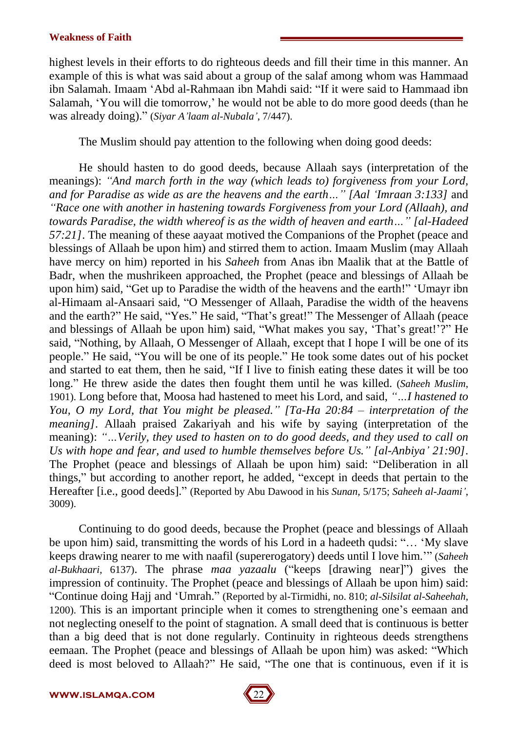highest levels in their efforts to do righteous deeds and fill their time in this manner. An example of this is what was said about a group of the salaf among whom was Hammaad ibn Salamah. Imaam 'Abd al-Rahmaan ibn Mahdi said: "If it were said to Hammaad ibn Salamah, 'You will die tomorrow,' he would not be able to do more good deeds (than he was already doing).î (*Siyar Aílaam al-Nubalaí*, 7/447).

The Muslim should pay attention to the following when doing good deeds:

He should hasten to do good deeds, because Allaah says (interpretation of the meanings): *ìAnd march forth in the way (which leads to) forgiveness from your Lord, and* for Paradise as wide as are the heavens and the earth..." [Aal 'Imraan 3:133] and *ìRace one with another in hastening towards Forgiveness from your Lord (Allaah), and towards* Paradise, the width whereof is as the width of heaven and earth..." [al-Hadeed *57:21]*. The meaning of these aayaat motived the Companions of the Prophet (peace and blessings of Allaah be upon him) and stirred them to action. Imaam Muslim (may Allaah have mercy on him) reported in his *Saheeh* from Anas ibn Maalik that at the Battle of Badr, when the mushrikeen approached, the Prophet (peace and blessings of Allaah be upon him) said, "Get up to Paradise the width of the heavens and the earth!" 'Umayr ibn al-Himaam al-Ansaari said, "O Messenger of Allaah, Paradise the width of the heavens and the earth?" He said, "Yes." He said, "That's great!" The Messenger of Allaah (peace and blessings of Allaah be upon him) said, "What makes you say, 'That's great!'?" He said, "Nothing, by Allaah, O Messenger of Allaah, except that I hope I will be one of its people." He said, "You will be one of its people." He took some dates out of his pocket and started to eat them, then he said, "If I live to finish eating these dates it will be too long." He threw aside the dates then fought them until he was killed. *(Saheeh Muslim*, 1901). Long before that, Moosa had hastened to meet his Lord, and said, "...*I hastened to You, O my Lord, that You might be pleased.î [Ta-Ha 20:84 ñ interpretation of the meaning*]. Allaah praised Zakariyah and his wife by saying (interpretation of the meaning): *ìÖVerily, they used to hasten on to do good deeds, and they used to call on Us with hope and fear, and used to humble themselves before Us.î [al-Anbiyaí 21:90]*. The Prophet (peace and blessings of Allaah be upon him) said: "Deliberation in all things," but according to another report, he added, "except in deeds that pertain to the Hereafter [i.e., good deeds].î (Reported by Abu Dawood in his *Sunan*, 5/175; *Saheeh al-Jaamií*, 3009).

Continuing to do good deeds, because the Prophet (peace and blessings of Allaah be upon him) said, transmitting the words of his Lord in a hadeeth qudsi: "... 'My slave keeps drawing nearer to me with naafil (supererogatory) deeds until I love him." (*Saheeh al-Bukhaari*, 6137). The phrase *maa yazaalu* ("keeps [drawing near]") gives the impression of continuity. The Prophet (peace and blessings of Allaah be upon him) said: ìContinue doing Hajj and ëUmrah.î (Reported by al-Tirmidhi, no. 810; *al-Silsilat al-Saheehah*, 1200). This is an important principle when it comes to strengthening one's eemaan and not neglecting oneself to the point of stagnation. A small deed that is continuous is better than a big deed that is not done regularly. Continuity in righteous deeds strengthens eemaan. The Prophet (peace and blessings of Allaah be upon him) was asked: "Which deed is most beloved to Allaah?" He said, "The one that is continuous, even if it is

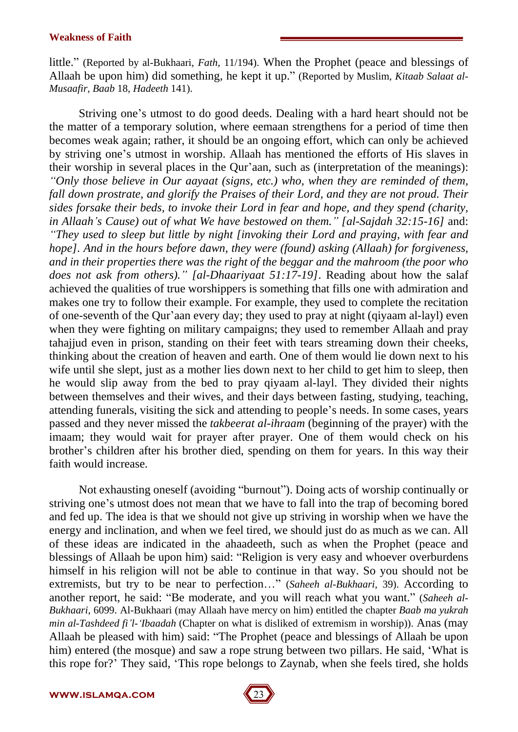little." (Reported by al-Bukhaari, *Fath*, 11/194). When the Prophet (peace and blessings of Allaah be upon him) did something, he kept it up.î (Reported by Muslim, *Kitaab Salaat al- Musaafir, Baab* 18, *Hadeeth* 141).

Striving one's utmost to do good deeds. Dealing with a hard heart should not be the matter of a temporary solution, where eemaan strengthens for a period of time then becomes weak again; rather, it should be an ongoing effort, which can only be achieved by striving one's utmost in worship. Allaah has mentioned the efforts of His slaves in their worship in several places in the Qur'aan, such as (interpretation of the meanings): *ìOnly those believe in Our aayaat (signs, etc.) who, when they are reminded of them, fall down prostrate, and glorify the Praises of their Lord, and they are not proud. Their sides forsake their beds, to invoke their Lord in fear and hope, and they spend (charity, in Allaahís Cause) out of what We have bestowed on them.î [al-Sajdah 32:15-16]* and: *<sup><i>°*</sup>They used to sleep but little by night *[invoking their Lord and praying, with fear and hope]. And in the hours before dawn, they were (found) asking (Allaah) for forgiveness, and in their properties there was the right of the beggar and the mahroom (the poor who does not ask from others).î [al-Dhaariyaat 51:17-19]*. Reading about how the salaf achieved the qualities of true worshippers is something that fills one with admiration and makes one try to follow their example. For example, they used to complete the recitation of one-seventh of the Qur'aan every day; they used to pray at night (qiyaam al-layl) even when they were fighting on military campaigns; they used to remember Allaah and pray tahajjud even in prison, standing on their feet with tears streaming down their cheeks, thinking about the creation of heaven and earth. One of them would lie down next to his wife until she slept, just as a mother lies down next to her child to get him to sleep, then he would slip away from the bed to pray qiyaam al-layl. They divided their nights between themselves and their wives, and their days between fasting, studying, teaching, attending funerals, visiting the sick and attending to people's needs. In some cases, years passed and they never missed the *takbeerat al-ihraam* (beginning of the prayer) with the imaam; they would wait for prayer after prayer. One of them would check on his brother's children after his brother died, spending on them for years. In this way their faith would increase.

Not exhausting oneself (avoiding "burnout"). Doing acts of worship continually or striving one's utmost does not mean that we have to fall into the trap of becoming bored and fed up. The idea is that we should not give up striving in worship when we have the energy and inclination, and when we feel tired, we should just do as much as we can. All of these ideas are indicated in the ahaadeeth, such as when the Prophet (peace and blessings of Allaah be upon him) said: "Religion is very easy and whoever overburdens himself in his religion will not be able to continue in that way. So you should not be extremists, but try to be near to perfection..." (*Saheeh al-Bukhaari*, 39). According to another report, he said: "Be moderate, and you will reach what you want." (*Saheeh al-Bukhaari*, 6099. Al-Bukhaari (may Allaah have mercy on him) entitled the chapter *Baab ma yukrah min al-Tashdeed fiíl-ëIbaadah* (Chapter on what is disliked of extremism in worship)). Anas (may Allaah be pleased with him) said: "The Prophet (peace and blessings of Allaah be upon him) entered (the mosque) and saw a rope strung between two pillars. He said, 'What is this rope for?<sup>*'*</sup> They said, 'This rope belongs to Zaynab, when she feels tired, she holds

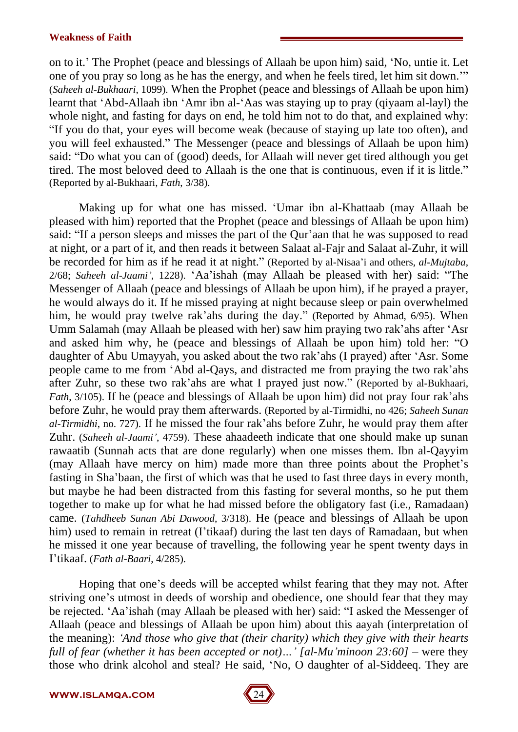on to it.<sup>7</sup> The Prophet (peace and blessings of Allaah be upon him) said, 'No, untie it. Let one of you pray so long as he has the energy, and when he feels tired, let him sit down.<sup>77</sup> (*Saheeh al-Bukhaari*, 1099). When the Prophet (peace and blessings of Allaah be upon him) learnt that 'Abd-Allaah ibn 'Amr ibn al-'Aas was staying up to pray (qiyaam al-layl) the whole night, and fasting for days on end, he told him not to do that, and explained why: "If you do that, your eyes will become weak (because of staying up late too often), and you will feel exhausted." The Messenger (peace and blessings of Allaah be upon him) said: "Do what you can of (good) deeds, for Allaah will never get tired although you get tired. The most beloved deed to Allaah is the one that is continuous, even if it is little." (Reported by al-Bukhaari, *Fath*, 3/38).

Making up for what one has missed. ëUmar ibn al-Khattaab (may Allaah be pleased with him) reported that the Prophet (peace and blessings of Allaah be upon him) said: "If a person sleeps and misses the part of the Qur'aan that he was supposed to read at night, or a part of it, and then reads itbetween Salaat al-Fajr and Salaat al-Zuhr, it will be recorded for him as if he read it at night." (Reported by al-Nisaa'i and others, *al-Mujtaba*, 2/68; *Saheeh al-Jaami'*, 1228). 'Aa'ishah (may Allaah be pleased with her) said: "The Messenger of Allaah (peace and blessings of Allaah be upon him), if he prayed a prayer, he would always do it. If he missed praying at night because sleep or pain overwhelmed him, he would pray twelve rak'ahs during the day." (Reported by Ahmad, 6/95). When Umm Salamah (may Allaah be pleased with her) saw him praying two rak'ahs after 'Asr and asked him why, he (peace and blessings of Allaah be upon him) told her:  $\degree$ O daughter of Abu Umayyah, you asked about the two rak'ahs (I prayed) after 'Asr. Some people came to me from 'Abd al-Qays, and distracted me from praying the two rak'ahs after Zuhr, so these two rak'ahs are what I prayed just now." (Reported by al-Bukhaari, *Fath*, 3/105). If he (peace and blessings of Allaah be upon him) did not pray four rak ahs before Zuhr, he would pray them afterwards. (Reported by al-Tirmidhi, no 426; *Saheeh Sunan al-Tirmidhi*, no. 727). If he missed the four rak'ahs before Zuhr, he would pray them after Zuhr. (*Saheeh al-Jaamií*, 4759). These ahaadeeth indicate that one should make up sunan rawaatib (Sunnah acts that are done regularly) when one misses them. Ibn al-Qayyim (may Allaah have mercy on him) made more than three points about the Prophet's fasting in Sha'baan, the first of which was that he used to fast three days in every month, but maybe he had been distracted from this fasting for several months, so he put them together to make up for what he had missed before the obligatory fast (i.e., Ramadaan) came. (*Tahdheeb Sunan Abi Dawood*, 3/318). He (peace and blessings of Allaah be upon him) used to remain in retreat (I'tikaaf) during the last ten days of Ramadaan, but when he missed it one year because of travelling, the following year he spent twenty days in Iítikaaf. (*Fath al-Baari*, 4/285).

Hoping that one's deeds will be accepted whilst fearing that they may not. After striving one's utmost in deeds of worship and obedience, one should fear that they may be rejected. 'Aa'ishah (may Allaah be pleased with her) said: "I asked the Messenger of Allaah (peace and blessings of Allaah be upon him) about this aayah (interpretation of the meaning): *ëAnd those who give that (their charity) which they give with their hearts full of fear (whether it has been accepted or not)*...' *[al-Mu'minoon* 23:60] – were they those who drink alcohol and steal? He said, 'No, O daughter of al-Siddeeq. They are

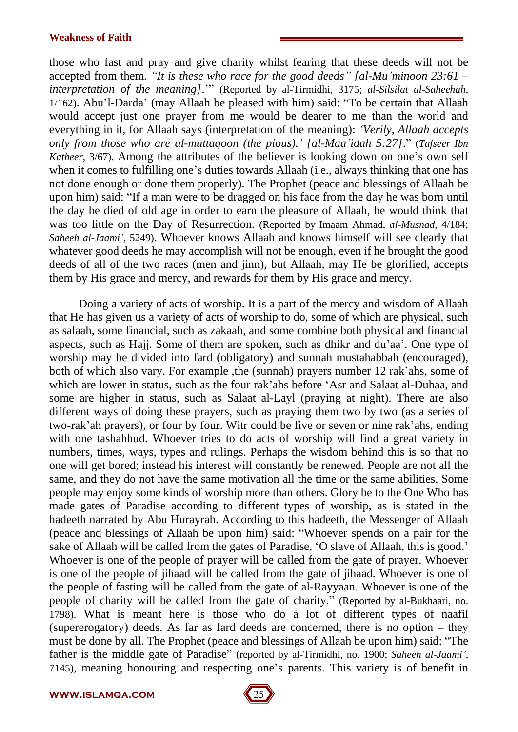those who fast and pray and give charity whilst fearing that these deeds will not be accepted from them. *IIt is these who race for the good deeds <i>l [al-Mu'minoon* 23:61 – *interpretation of the meaning*].<sup>27</sup> (Reported by al-Tirmidhi, 3175; *al-Silsilat al-Saheehah*,  $1/162$ ). Abu'l-Darda' (may Allaah be pleased with him) said: "To be certain that Allaah would accept just one prayer from me would be dearer to me than the world and everything in it, for Allaah says (interpretation of the meaning): *ëVerily, Allaah accepts only from those who are al-muttaqoon (the pious).í [al-Maaíidah 5:27]*.î (*Tafseer Ibn Katheer*, 3/67). Among the attributes of the believer is looking down on one's own self when it comes to fulfilling one's duties towards Allaah (i.e., always thinking that one has not done enough or done them properly). The Prophet (peace and blessings of Allaah be upon him) said: "If a man were to be dragged on his face from the day he was born until the day he died of old age in order to earn the pleasure of Allaah, he would think that was too little on the Day of Resurrection. (Reported by Imaam Ahmad, *al-Musnad*, 4/184; *Saheeh al-Jaamií*, 5249). Whoever knows Allaah and knows himself will see clearly that whatever good deeds he may accomplish will not be enough, even if he brought the good deeds of all of the two races (men and jinn), but Allaah, may He be glorified, accepts them by His grace and mercy, and rewards for them by His grace and mercy.

Doing a variety of acts of worship. It is a part of the mercy and wisdom of Allaah that He has given us a variety of acts of worship to do, some of which are physical, such as salaah, some financial, such as zakaah, and some combine both physical and financial aspects, such as Hajj. Some of them are spoken, such as dhikr and du'aa'. One type of worship may be divided into fard (obligatory) and sunnah mustahabbah (encouraged), both of which also vary. For example , the (sunnah) prayers number 12 rak ahs, some of which are lower in status, such as the four rak'ahs before 'Asr and Salaat al-Duhaa, and some are higher in status, such as Salaat al-Layl (praying at night). There are also different ways of doing these prayers, such as praying them two by two (as a series of two-rak'ah prayers), or four by four. Witr could be five or seven or nine rak'ahs, ending with one tashahhud. Whoever tries to do acts of worship will find a great variety in numbers, times, ways, types and rulings. Perhaps the wisdom behind this is so that no one will get bored; instead his interest will constantly be renewed. People are not all the same, and they do not have the same motivation all the time or the same abilities. Some people may enjoy some kinds of worship more than others. Glory be to the One Who has made gates of Paradise according to different types of worship, as is stated in the hadeeth narrated by Abu Hurayrah. According to this hadeeth, the Messenger of Allaah (peace and blessings of Allaah be upon him) said: "Whoever spends on a pair for the sake of Allaah will be called from the gates of Paradise, 'O slave of Allaah, this is good.' Whoever is one of the people of prayer will be called from the gate of prayer. Whoever is one of the people of jihaad will be called from the gate of jihaad. Whoever is one of the people of fasting will be called from the gate of al-Rayyaan. Whoever is one of the people of charity will be called from the gate of charity." (Reported by al-Bukhaari, no. 1798). What is meant here is those who do a lot of different types of naafil (supererogatory) deeds. As far as fard deeds are concerned, there is no option  $-$  they must be done by all. The Prophet (peace and blessings of Allaah be upon him) said: "The father is the middle gate of Paradise" (reported by al-Tirmidhi, no. 1900; *Saheeh al-Jaami*<sup>'</sup>, 7145), meaning honouring and respecting one's parents. This variety is of benefit in

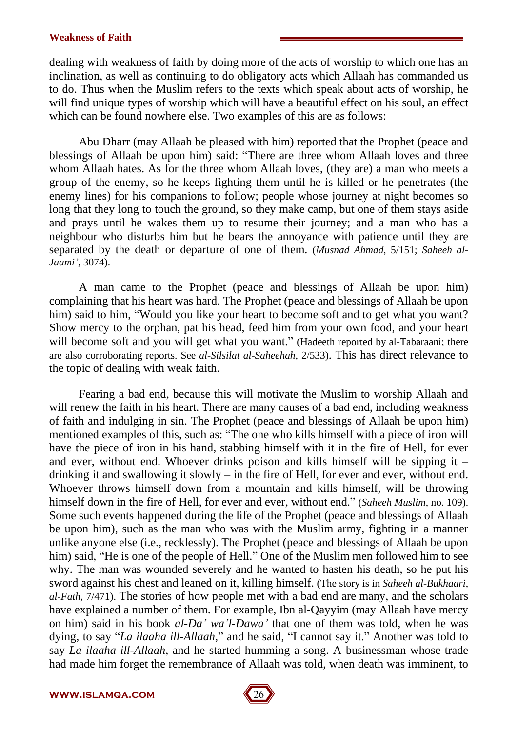dealing with weakness of faith by doing more of the acts of worship to which one has an inclination, as well as continuing to do obligatory acts which Allaah has commanded us to do. Thus when the Muslim refers to the texts which speak about acts of worship, he will find unique types of worship which will have a beautiful effect on his soul, an effect which can be found nowhere else. Two examples of this are as follows:

Abu Dharr (may Allaah be pleased with him) reported that the Prophet (peace and blessings of Allaah be upon him) said: "There are three whom Allaah loves and three whom Allaah hates. As for the three whom Allaah loves, (they are) a man who meets a group of the enemy, so he keeps fighting them until he is killed or he penetrates (the enemy lines) for his companions to follow; people whose journey at night becomes so long that they long to touch the ground, so they make camp, but one of them stays aside and prays until he wakes them up to resume their journey; and a man who has a neighbour who disturbs him but he bears the annoyance with patience until they are separated by the death or departure of one of them. (*Musnad Ahmad*, 5/151; *Saheeh al-Jaamií*, 3074).

A man came to the Prophet (peace and blessings of Allaah be upon him) complaining that his heart was hard. The Prophet (peace and blessings of Allaah be upon him) said to him, "Would you like your heart to become soft and to get what you want? Show mercy to the orphan, pat his head, feed him from your own food, and your heart will become soft and you will get what you want." (Hadeeth reported by al-Tabaraani; there are also corroborating reports. See *al-Silsilat al-Saheehah*, 2/533). This has direct relevance to the topic of dealing with weak faith.

Fearing a bad end, because this will motivate the Muslim to worship Allaah and will renew the faith in his heart. There are many causes of a bad end, including weakness of faith and indulging in sin. The Prophet (peace and blessings of Allaah be upon him) mentioned examples of this, such as: "The one who kills himself with a piece of iron will have the piece of iron in his hand, stabbing himself with it in the fire of Hell, for ever and ever, without end. Whoever drinks poison and kills himself will be sipping it  $$ drinking it and swallowing it slowly  $-$  in the fire of Hell, for ever and ever, without end. Whoever throws himself down from a mountain and kills himself, will be throwing himself down in the fire of Hell, for ever and ever, without end." *(Saheeh Muslim, no. 109).* Some such events happened during the life of the Prophet (peace and blessings of Allaah be upon him), such as the man who was with the Muslim army, fighting in a manner unlike anyone else (i.e., recklessly). The Prophet (peace and blessings of Allaah be upon him) said, "He is one of the people of Hell." One of the Muslim men followed him to see why. The man was wounded severely and he wanted to hasten his death, so he put his sword against his chest and leaned on it, killing himself. (The story is in *Saheeh al-Bukhaari*, *al-Fath*, 7/471). The stories of how people met with a bad end are many, and the scholars have explained a number of them. For example, Ibn al-Qayyim (may Allaah have mercy on him) said in his book *al-Daí waíl-Dawaí* that one of them was told, when he was dying, to say "*La ilaaha ill-Allaah*," and he said, "I cannot say it." Another was told to say *La ilaaha ill-Allaah*, and he started humming a song. A businessman whose trade had made him forget the remembrance of Allaah was told, when death was imminent, to

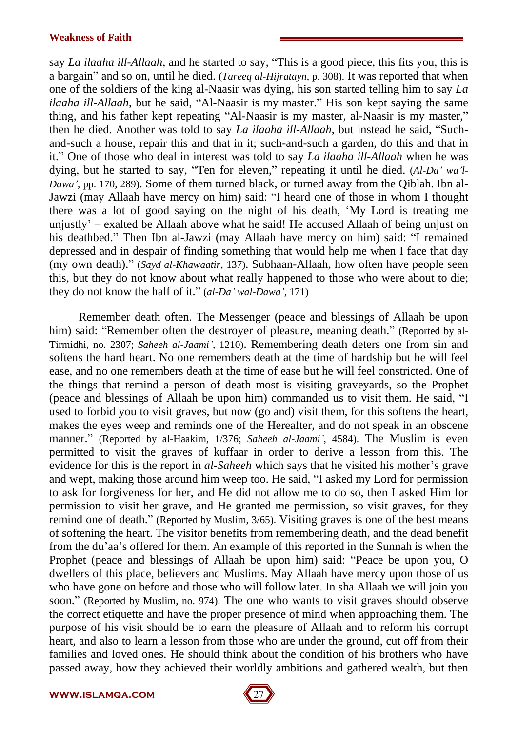say *La ilaaha ill-Allaah*, and he started to say, "This is a good piece, this fits you, this is a bargainî and so on, until he died. (*Tareeq al-Hijratayn*, p. 308). It was reported that when one of the soldiers of the king al-Naasir was dying, his son started telling him to say *La ilaaha ill-Allaah*, but he said, "Al-Naasir is my master." His son kept saying the same thing, and his father kept repeating "Al-Naasir is my master, al-Naasir is my master," then he died. Another was told to say *La ilaaha ill-Allaah*, but instead he said, "Suchand-such a house, repair this and that in it; such-and-such a garden, do this and that in it.î One of those who deal in interest was told to say *La ilaaha ill-Allaah* when he was dying, but he started to say, "Ten for eleven," repeating it until he died. (*Al-Da' wa'l-Dawaí*, pp. 170, 289). Some of them turned black, or turned away from the Qiblah. Ibn al- Jawzi (may Allaah have mercy on him) said: "I heard one of those in whom I thought there was a lot of good saying on the night of his death, ëMy Lord is treating me unjustly'  $-$  exalted be Allaah above what he said! He accused Allaah of being unjust on his deathbed." Then Ibn al-Jawzi (may Allaah have mercy on him) said: "I remained depressed and in despair of finding something that would help me when I face that day (my own death).î (*Sayd al-Khawaatir*, 137). Subhaan-Allaah, how often have people seen this, but they do not know about what really happened to those who were about to die; they do not know the half of it.î (*al-Daí wal-Dawaí*, 171)

Remember death often. The Messenger (peace and blessings of Allaah be upon him) said: "Remember often the destroyer of pleasure, meaning death." (Reported by al-Tirmidhi, no. 2307; *Saheeh al-Jaamií*, 1210). Remembering death deters one from sin and softens the hard heart. No one remembers death at the time of hardship but he will feel ease, and no one remembers death at the time of ease but he will feel constricted. One of the things that remind a person of death most is visiting graveyards, so the Prophet (peace and blessings of Allaah be upon him) commanded us to visit them. He said, "I used to forbid you to visit graves, but now (goand) visit them, for this softens the heart, makes the eyes weep and reminds one of the Hereafter, and do not speak in an obscene manner." (Reported by al-Haakim, 1/376; *Saheeh al-Jaami*<sup>'</sup>, 4584). The Muslim is even permitted to visit the graves of kuffaar in order to derive a lesson from this. The evidence for this is the report in *al-Saheeh* which says that he visited his mother's grave and wept, making those around him weep too. He said, "I asked my Lord for permission to ask for forgiveness for her, and He did notallow me to do so, then I asked Him for permission to visit her grave, and He granted me permission, so visit graves, for they remind one of death." (Reported by Muslim, 3/65). Visiting graves is one of the best means of softening the heart. The visitor benefits from remembering death, and the dead benefit from the du'aa's offered for them. An example of this reported in the Sunnah is when the Prophet (peace and blessings of Allaah be upon him) said: "Peace be upon you, O dwellers of this place, believers and Muslims. May Allaah have mercy upon those of us who have gone on before and those who will follow later. In sha Allaah we will join you soon." (Reported by Muslim, no. 974). The one who wants to visit graves should observe the correct etiquette and have the proper presence of mind when approaching them. The purpose of his visit should be to earn the pleasure of Allaah and to reform his corrupt heart, and also to learn a lesson from those who are under the ground, cut off from their families and loved ones. He should think about the condition of his brothers who have passed away, how they achieved their worldly ambitions and gathered wealth, but then

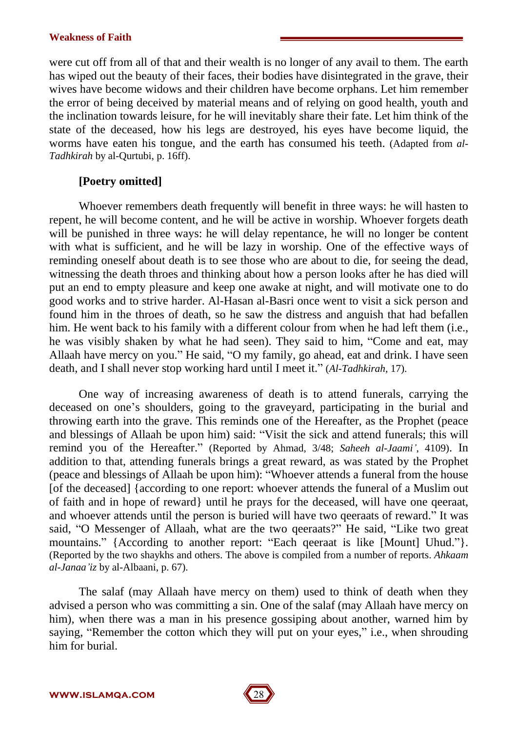were cut off from all of that and their wealth is no longer of any avail to them. The earth has wiped out the beauty of their faces, their bodies have disintegrated in the grave, their wives have become widows and their children have become orphans. Let him remember the error of being deceived by material means and of relying on good health, youth and the inclination towards leisure, for he will inevitably share their fate. Let him think of the state of the deceased, how his legs are destroyed, his eyes have become liquid, the worms have eaten his tongue, and the earth has consumed his teeth. (Adapted from *al- Tadhkirah* by al-Qurtubi, p. 16ff).

## **[Poetry omitted]**

Whoever remembers death frequently will benefit in three ways: he will hasten to repent, he will become content, and he will be active in worship. Whoever forgets death will be punished in three ways: he will delay repentance, he will no longer be content with what is sufficient, and he will be lazy in worship. One of the effective ways of reminding oneself about death is to see those who are about to die, for seeing the dead, witnessing the death throes and thinking about how a person looks after he has died will put an end to empty pleasure and keep one awake at night, and will motivate one to do good works and to strive harder. Al-Hasan al-Basri once went to visit a sick person and found him in the throes of death, so he saw the distress and anguish that had befallen him. He went back to his family with a different colour from when he had left them (i.e., he was visibly shaken by what he had seen). They said to him, "Come and eat, may Allaah have mercy on you." He said, "O my family, go ahead, eat and drink. I have seen death, and I shall never stop working hard until I meet it." (*Al-Tadhkirah*, 17).

One way of increasing awareness of death is to attend funerals, carrying the deceased on one's shoulders, going to the graveyard, participating in the burial and throwing earth into the grave. This reminds one of the Hereafter, as the Prophet (peace and blessings of Allaah be upon him) said: "Visit the sick and attend funerals; this will remind you of the Hereafter." (Reported by Ahmad, 3/48; Saheeh al-Jaami', 4109). In addition to that, attending funerals brings a great reward, as was stated by the Prophet (peace and blessings of Allaah be upon him): "Whoever attends a funeral from the house [of the deceased] {according to one report: whoever attends the funeral of a Muslim out of faith and in hope of reward} until he prays for the deceased, will have one qeeraat, and whoever attends until the person is buried will have two qeeraats of reward." It was said, "O Messenger of Allaah, what are the two qeeraats?" He said, "Like two great mountains." {According to another report: "Each qeeraat is like [Mount] Uhud."}. (Reported by the two shaykhs and others. The above is compiled from a number of reports. *Ahkaam al-Janaaíiz* by al-Albaani, p. 67).

The salaf (may Allaah have mercy on them) used to think of death when they advised a person who was committing a sin. One of the salaf (may Allaah have mercy on him), when there was a man in his presence gossiping about another, warned him by saying, "Remember the cotton which they will put on your eyes," i.e., when shrouding him for burial.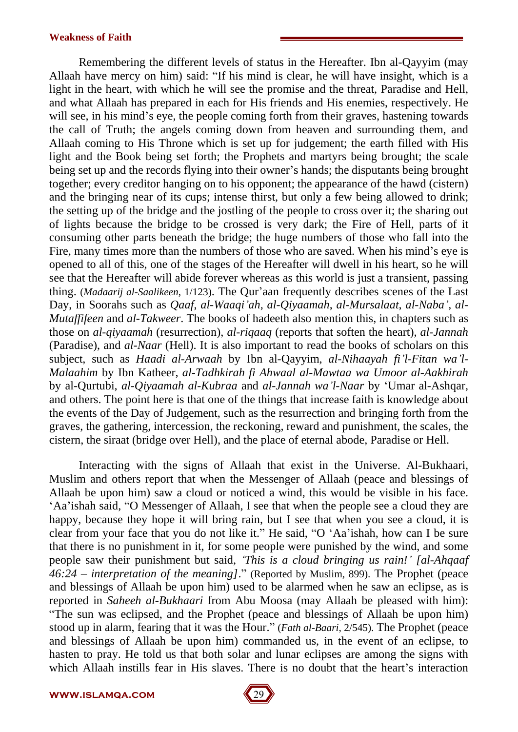Remembering the different levels of status in the Hereafter. Ibn al-Qayyim (may Allaah have mercy on him) said: "If his mind is clear, he will have insight, which is a light in the heart, with which he will see the promise and the threat, Paradise and Hell, and what Allaah has prepared in each for His friends and His enemies, respectively. He will see, in his mind's eye, the people coming forth from their graves, hastening towards the call of Truth; the angels coming down from heaven and surrounding them, and Allaah coming to His Throne which is set up for judgement; the earth filled with His light and the Book being set forth; the Prophets and martyrs being brought; the scale being set up and the records flying into their owner's hands; the disputants being brought together; every creditor hanging on to his opponent; the appearance of the hawd (cistern) and the bringing near of its cups; intense thirst, but only a few being allowed to drink; the setting up of the bridge and the jostling of the people to cross over it; the sharing out of lights because the bridge to be crossed is very dark; the Fire of Hell, parts of it consuming other parts beneath the bridge; the huge numbers of those who fallinto the Fire, many times more than the numbers of those who are saved. When his mind's eye is opened to all of this, one of the stages of the Hereafter will dwell in his heart, so he will see that the Hereafter will abide forever whereas as this world is just a transient, passing thing. (*Madaarij al-Saalikeen*, 1/123). The Qur'aan frequently describes scenes of the Last Day, in Soorahs such as *Qaaf*, *al-Waaqiíah*, *al-Qiyaamah*, *al-Mursalaat*, *al-Nabaí*, *al- Mutaffifeen* and *al-Takweer*. The books of hadeeth also mention this, in chapters such as those on *al-qiyaamah* (resurrection), *al-riqaaq* (reports that soften the heart), *al-Jannah* (Paradise), and *al-Naar* (Hell). It is also important to read the books of scholars on this subject, such as *Haadi al-Arwaah* by Ibn al-Qayyim, *al-Nihaayah fiíl-Fitan waíl- Malaahim* by Ibn Katheer, *al-Tadhkirah fi Ahwaal al-Mawtaa wa Umoor al-Aakhirah* by al-Qurtubi, *al-Qiyaamah al-Kubraa* and *al-Jannah waíl-Naar* by ëUmar al-Ashqar, and others. The point here is that one of the things that increase faith is knowledge about the events of the Day of Judgement, such as the resurrection and bringing forth from the graves, the gathering, intercession, the reckoning, reward and punishment, the scales, the cistern, the siraat (bridge over Hell), and the place of eternal abode, Paradise or Hell.

Interacting with the signs of Allaah that exist in the Universe. Al-Bukhaari, Muslim and others report that when the Messenger of Allaah (peace and blessings of Allaah be upon him) saw a cloud or noticed a wind, this would be visible in his face. Aa'ishah said, "O Messenger of Allaah, I see that when the people see a cloud they are happy, because they hope it will bring rain, but I see that when you see a cloud, it is clear from your face that you do not like it." He said, "O 'Aa'ishah, how can I be sure that there is no punishment in it, for some people were punished by the wind, and some people saw their punishment but said, *ëThis is a cloud bringing us rain!í [al-Ahqaaf 46:24 ñ interpretation of the meaning]*.î (Reported by Muslim, 899). The Prophet (peace and blessings of Allaah be upon him) used to be alarmed when he saw an eclipse, as is reported in *Saheeh al-Bukhaari* from Abu Moosa (may Allaah be pleased with him): ìThe sun was eclipsed, and the Prophet (peace and blessings of Allaah be upon him) stood up in alarm, fearing that it was the Hour." (*Fath al-Baari*, 2/545). The Prophet (peace and blessings of Allaah be upon him) commanded us, in the event of an eclipse, to hasten to pray. He told us that both solar and lunar eclipses are among the signs with which Allaah instills fear in His slaves. There is no doubt that the heart's interaction

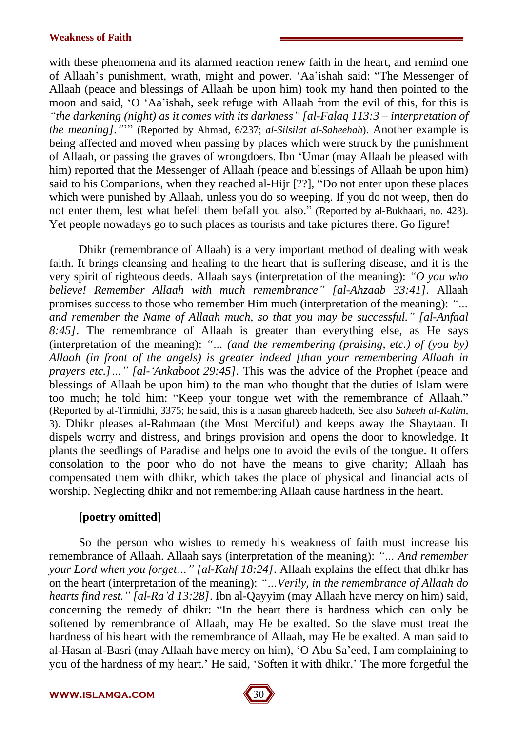with these phenomena and its alarmed reaction renew faith in the heart, and remind one of Allaah's punishment, wrath, might and power. 'Aa'ishah said: "The Messenger of Allaah (peace and blessings of Allaah be upon him) took my hand then pointed to the moon and said, 'O 'Aa'ishah, seek refuge with Allaah from the evil of this, for this is *ìthe darkening (night) as it comes with its darknessî [al-Falaq 113:3 ñ interpretation of the meaning].î*íî (Reported by Ahmad, 6/237; *al-Silsilat al-Saheehah*). Another example is being affected and moved when passing by places which were struck by the punishment of Allaah, or passing the graves of wrongdoers. Ibn ëUmar (may Allaah be pleased with him) reported that the Messenger of Allaah (peace and blessings of Allaah be upon him) said to his Companions, when they reached al-Hijr  $[?$ ?], "Do not enter upon these places which were punished by Allaah, unless you do so weeping. If you do not weep, then do not enter them, lest what befell them befall you also." (Reported by al-Bukhaari, no. 423). Yet people nowadays go to such places as tourists and take pictures there. Go figure!

Dhikr (remembrance of Allaah) is a very important method of dealing with weak faith. It brings cleansing and healing to the heart that is suffering disease, and it is the very spirit of righteous deeds. Allaah says (interpretation of the meaning): *ìO you who believe! Remember Allaah with much remembranceî [al-Ahzaab 33:41].* Allaah promises success to those who remember Him much (interpretation of the meaning): *"*... *and remember the Name ofAllaah much, so that you may be successful.î [al-Anfaal 8:45]*. The remembrance of Allaah is greater than everything else, as He says (interpretation of the meaning): "... (and the remembering (praising, etc.) of (you by) *Allaah (in front of the angels) is greater indeed [than your remembering Allaah in prayers etc.]*  $\ddots$  *[al- Ankaboot* 29:45]. This was the advice of the Prophet (peace and blessings of Allaah be upon him) to the man who thought that the duties of Islam were too much; he told him: "Keep your tongue wet with the remembrance of Allaah." (Reported by al-Tirmidhi, 3375; he said, this is a hasan ghareeb hadeeth, See also *Saheeh al-Kalim*, 3). Dhikr pleases al-Rahmaan (the Most Merciful) and keeps away the Shaytaan. It dispels worry and distress, and brings provision and opens the door to knowledge. It plants the seedlings of Paradise and helps one to avoid the evils of the tongue. It offers consolation to the poor who do not have the means to give charity; Allaah has compensated them with dhikr, which takes the place of physical and financial acts of worship. Neglecting dhikr and not remembering Allaah cause hardness in the heart.

## **[poetry omitted]**

So the person who wishes to remedy his weakness of faith must increase his remembrance of Allaah. Allaah says (interpretation of the meaning): *"*... And *remember your Lord when you forget ...* " [al-Kahf 18:24]. Allaah explains the effect that dhikr has on the heart (interpretation of the meaning): *ìÖVerily, in the remembrance of Allaah do hearts find rest.î [al-Raíd 13:28]*. Ibn al-Qayyim (may Allaah have mercy on him) said, concerning the remedy of dhikr: "In the heart there is hardness which can only be softened by remembrance of Allaah, may He be exalted. So the slave must treat the hardness of his heart with the remembrance of Allaah, may He be exalted. A man said to al-Hasan al-Basri (may Allaah have mercy on him), 'O Abu Sa'eed, I am complaining to you of the hardness of my heart.' He said, 'Soften it with dhikr.' The more forgetful the

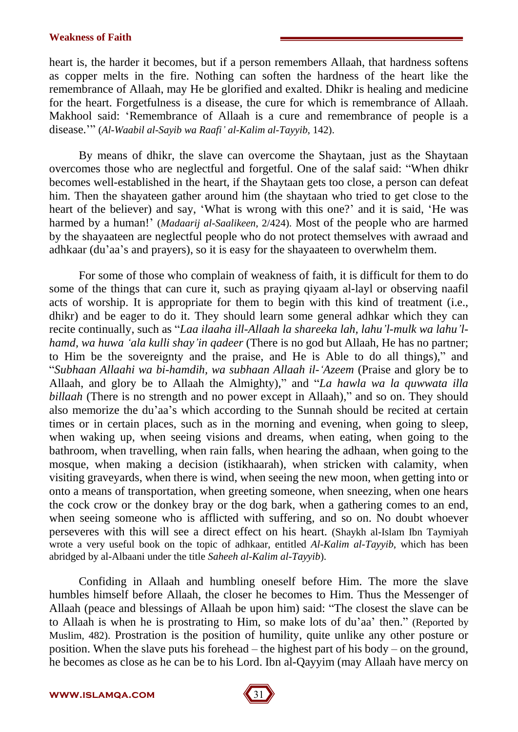heart is, the harder it becomes, but if a person remembers Allaah, that hardness softens as copper melts in the fire. Nothing can soften the hardness of the heart like the remembrance of Allaah, may He be glorified and exalted. Dhikr is healing and medicine for the heart. Forgetfulness is a disease, the cure for which is remembrance of Allaah. Makhool said: 'Remembrance of Allaah is a cure and remembrance of people is a disease.íî (*Al-Waabil al-Sayib wa Raafií al-Kalim al-Tayyib*, 142).

By means of dhikr, the slave can overcome the Shaytaan, just as the Shaytaan overcomes those who are neglectful and forgetful. One of the salaf said: "When dhikr becomes well-established in the heart, if the Shaytaan gets too close, a person can defeat him. Then the shayateen gather around him (the shaytaan who tried to get close to the heart of the believer) and say, 'What is wrong with this one?' and it is said, 'He was harmed by a human!' (*Madaarij al-Saalikeen*, 2/424). Most of the people who are harmed by the shayaateen are neglectful people who do not protect themselves with awraad and adhkaar (du'aa's and prayers), so it is easy for the shayaateen to overwhelm them.

For some of those who complain of weakness of faith, it is difficult for them to do some of the things that can cure it, such as praying qiyaam al-layl or observing naafil acts of worship. It is appropriate for them to begin with this kind of treatment (i.e., dhikr) and be eager to do it. They should learn some general adhkar which they can recite continually, such as ì*Laa ilaaha ill-Allaah la shareeka lah,lahuíl-mulk wa lahuíl hamd, wa huwa ëala kulli shayíin qadeer* (There is no god but Allaah, He has no partner; to Him be the sovereignty and the praise, and He is Able to do all things)," and ì*Subhaan Allaahi wa bi-hamdih, wa subhaan Allaah il-ëAzeem* (Praise and glory be to Allaah, and glory be to Allaah the Almighty)," and "*La hawla wa la quwwata illa billaah* (There is no strength and no power except in Allaah)," and so on. They should also memorize the du'aa's which according to the Sunnah should be recited at certain times or in certain places, such as in the morning and evening, when going to sleep, when waking up, when seeing visions and dreams, when eating, when going to the bathroom, when travelling, when rain falls, when hearing the adhaan, when going to the mosque, when making a decision (istikhaarah), when stricken with calamity, when visiting graveyards, when there is wind, when seeing the new moon, when getting into or onto a means of transportation, when greeting someone, when sneezing, when one hears the cock crow or the donkey bray or the dog bark, when a gathering comes to an end, when seeing someone who is afflicted with suffering, and so on. No doubt whoever perseveres with this will see a direct effect on his heart. (Shaykh al-Islam Ibn Taymiyah wrote a very useful book on the topic of adhkaar, entitled *Al-Kalim al-Tayyib*, which has been abridged by al-Albaani under the title *Saheeh al-Kalim al-Tayyib*).

Confiding in Allaah and humbling oneself before Him. The more the slave humbles himself before Allaah, the closer he becomes to Him. Thus the Messenger of Allaah (peace and blessings of Allaah be upon him) said: "The closest the slave can be to Allaah is when he is prostrating to Him, so make lots of du'aa' then." (Reported by Muslim, 482). Prostration is the position of humility, quite unlike any other posture or position. When the slave puts his forehead  $-$  the highest part of his body  $-$  on the ground, he becomes as close as he can be to his Lord. Ibn al-Qayyim (may Allaah have mercy on

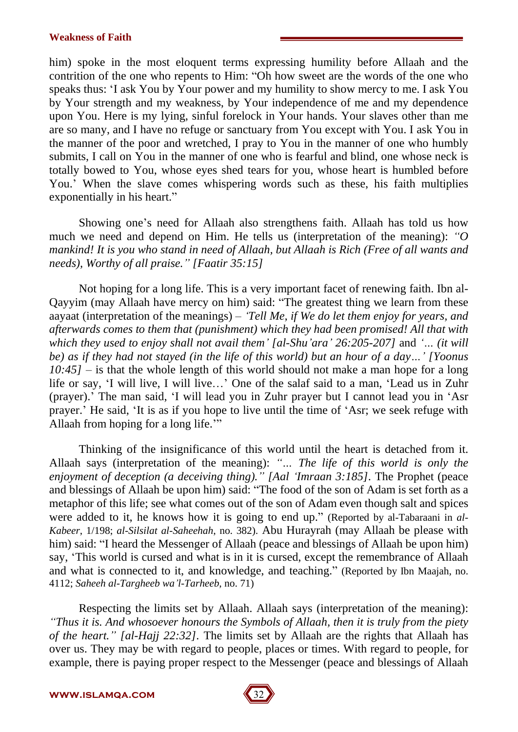him) spoke in the most eloquent terms expressing humility before Allaah and the contrition of the one who repents to Him: "Oh how sweet are the words of the one who speaks thus: ëI ask You by Your power and my humility to show mercy to me. I ask You by Your strength and my weakness, by Your independence of me and my dependence upon You. Here is my lying, sinful forelock in Your hands. Your slaves other than me are so many, and I have no refuge or sanctuary from Youexcept with You. I ask You in the manner of the poor and wretched, I pray to You in the manner of one who humbly submits, I call on You in the manner of one who is fearful and blind, one whose neck is totally bowed to You, whose eyes shed tears for you, whose heart is humbled before You.' When the slave comes whispering words such as these, his faith multiplies exponentially in his heart."

Showing one's need for Allaah also strengthens faith. Allaah has told us how much we need and depend on Him. He tells us (interpretation of the meaning):  $\hat{O}$ *mankind! It is you who stand in need of Allaah, but Allaah is Rich (Free of all wants and needs), Worthy of all praise.î [Faatir 35:15]*

Not hoping for a long life.This is a very important facet of renewing faith. Ibn al- Qayyim (may Allaah have mercy on him) said: "The greatest thing we learn from these aayaat (interpretation of the meanings) – *'Tell Me, if We do let them enjoy for years, and afterwards comes to them that (punishment) which they had been promised! All that with which they used to enjoy shall not avail them' [al-Shu'ara' 26:205-207]* and *'... (it will* be) as if they had not stayed (in the life of this world) but an hour of a day...' [Yoonus]  $10:45$ ] – is that the whole length of this world should not make a man hope for a long life or say, 'I will live, I will live...' One of the salaf said to a man, 'Lead us in Zuhr (prayer).<sup>†</sup> The man said, 'I will lead you in Zuhr prayer but I cannot lead you in 'Asr prayer. He said, 'It is as if you hope to live until the time of 'Asr; we seek refuge with Allaah from hoping for a long life."

Thinking of the insignificance of this world until the heart is detached from it. Allaah says (interpretation of the meaning): "... The life of this world is only the *enjoyment of deception (a deceiving thing).î [Aal ëImraan 3:185].* The Prophet (peace and blessings of Allaah be upon him) said: "The food of the son of Adam is set forth as a metaphor of this life; see what comes out of the son of Adam even though saltand spices were added to it, he knows how it is going to end up." (Reported by al-Tabaraani in *al-Kabeer*, 1/198; *al-Silsilat al-Saheehah*, no. 382). Abu Hurayrah (may Allaah be please with him) said: "I heard the Messenger of Allaah (peace and blessings of Allaah be upon him) say, 'This world is cursed and what is in it is cursed, except the remembrance of Allaah and what is connected to it, and knowledge, and teaching." (Reported by Ibn Maajah, no. 4112; *Saheeh al-Targheeb waíl-Tarheeb*, no. 71)

Respecting the limits set by Allaah. Allaah says (interpretation of the meaning): *ìThus itis. And whosoever honours the Symbols of Allaah, then it is truly from the piety of the heart.î [al-Hajj 22:32].* The limits set by Allaah are the rights that Allaah has over us. They may be with regard to people, places or times. With regard to people, for example, there is paying proper respect to the Messenger (peace and blessings of Allaah

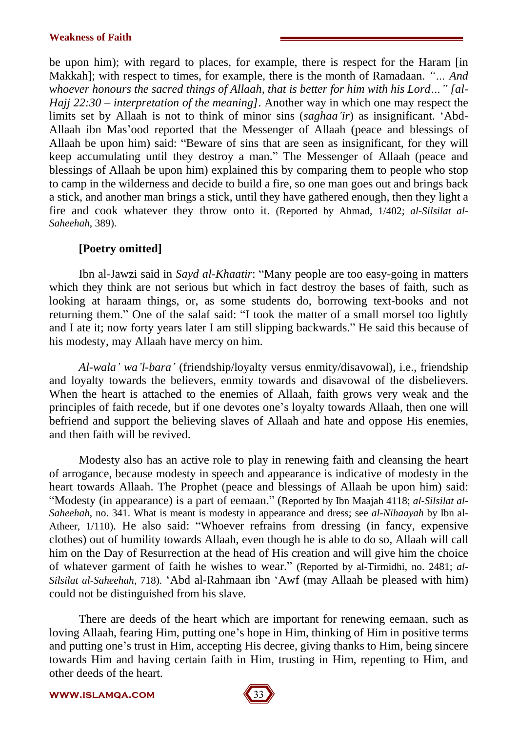be upon him); with regard to places, for example, there is respect for the Haram [in Makkah]; with respect to times, for example, there is the month of Ramadaan. "... And *whoever honours the sacred things of Allaah, that is better for him with his Lord* ... " [al-*Hajj*  $22:30$  – *interpretation of the meaning*]. Another way in which one may respect the limits set by Allaah is not to think of minor sins (*saghaa'ir*) as insignificant. 'Abd-Allaah ibn Mas'ood reported that the Messenger of Allaah (peace and blessings of Allaah be upon him) said: "Beware of sins that are seen as insignificant, for they will keep accumulating until they destroy a man." The Messenger of Allaah (peace and blessings of Allaah be upon him) explained this by comparing them to people who stop to camp in the wilderness and decide to build a fire, so one man goes out and brings back a stick, and another man brings a stick, until they have gathered enough, then they light a fire and cook whatever they throw onto it. (Reported by Ahmad, 1/402; *al-Silsilat al- Saheehah*, 389).

## **[Poetry omitted]**

Ibn al-Jawzi said in *Sayd al-Khaatir*: "Many people are too easy-going in matters which they think are not serious but which in fact destroy the bases of faith, such as looking at haraam things, or, as some students do, borrowing text-books and not returning them." One of the salaf said: "I took the matter of a small morsel too lightly and I ate it; now forty years later I am still slipping backwards." He said this because of his modesty, may Allaah have mercy on him.

*Al-walaí waíl-baraí* (friendship/loyalty versus enmity/disavowal), i.e., friendship and loyalty towards the believers, enmity towards and disavowal of the disbelievers. When the heart is attached to the enemies of Allaah, faith grows very weak and the principles of faith recede, but if one devotes one's loyalty towards Allaah, then one will befriend and support the believing slaves of Allaah and hate and oppose His enemies, and then faith will be revived.

Modesty also has an active role to play in renewing faith and cleansing the heart of arrogance, because modesty in speech and appearance is indicative of modesty in the heart towards Allaah. The Prophet (peace and blessings of Allaah be upon him) said: ìModesty (in appearance) is a part of eemaan.î (Reported by Ibn Maajah 4118; *al-Silsilat al- Saheehah*, no. 341. What is meant is modesty in appearance and dress; see *al-Nihaayah* by Ibn al- Atheer, 1/110). He also said: "Whoever refrains from dressing (in fancy, expensive clothes) out of humility towards Allaah, even though he is able to do so, Allaah will call him on the Day of Resurrection at the head of His creation and will give him the choice of whatever garment of faith he wishes to wear." (Reported by al-Tirmidhi, no. 2481; *al-Silsilat al-Saheehah*, 718). 'Abd al-Rahmaan ibn 'Awf (may Allaah be pleased with him) could not be distinguished from his slave.

There are deeds of the heart which are important for renewing eemaan, such as loving Allaah, fearing Him, putting one's hope in Him, thinking of Him in positive terms and putting one's trust in Him, accepting His decree, giving thanks to Him, being sincere towards Him and having certain faith in Him, trusting in Him, repenting to Him, and other deeds of the heart.